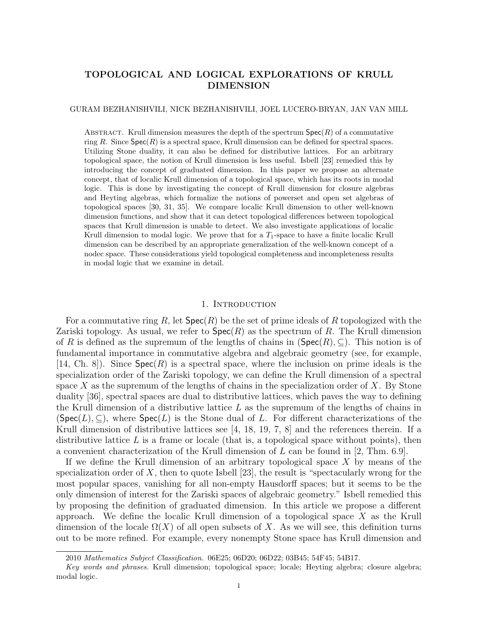# TOPOLOGICAL AND LOGICAL EXPLORATIONS OF KRULL DIMENSION

#### GURAM BEZHANISHVILI, NICK BEZHANISHVILI, JOEL LUCERO-BRYAN, JAN VAN MILL

ABSTRACT. Krull dimension measures the depth of the spectrum  $Spec(R)$  of a commutative ring R. Since  $Spec(R)$  is a spectral space, Krull dimension can be defined for spectral spaces. Utilizing Stone duality, it can also be defined for distributive lattices. For an arbitrary topological space, the notion of Krull dimension is less useful. Isbell [23] remedied this by introducing the concept of graduated dimension. In this paper we propose an alternate concept, that of localic Krull dimension of a topological space, which has its roots in modal logic. This is done by investigating the concept of Krull dimension for closure algebras and Heyting algebras, which formalize the notions of powerset and open set algebras of topological spaces [30, 31, 35]. We compare localic Krull dimension to other well-known dimension functions, and show that it can detect topological differences between topological spaces that Krull dimension is unable to detect. We also investigate applications of localic Krull dimension to modal logic. We prove that for a  $T_1$ -space to have a finite localic Krull dimension can be described by an appropriate generalization of the well-known concept of a nodec space. These considerations yield topological completeness and incompleteness results in modal logic that we examine in detail.

#### 1. Introduction

For a commutative ring R, let  $Spec(R)$  be the set of prime ideals of R topologized with the Zariski topology. As usual, we refer to  $\text{Spec}(R)$  as the spectrum of R. The Krull dimension of R is defined as the supremum of the lengths of chains in  $(\text{Spec}(R), \subseteq)$ . This notion is of fundamental importance in commutative algebra and algebraic geometry (see, for example, [14, Ch. 8]). Since  $Spec(R)$  is a spectral space, where the inclusion on prime ideals is the specialization order of the Zariski topology, we can define the Krull dimension of a spectral space X as the supremum of the lengths of chains in the specialization order of X. By Stone duality [36], spectral spaces are dual to distributive lattices, which paves the way to defining the Krull dimension of a distributive lattice  $L$  as the supremum of the lengths of chains in  $(Spec(L), \subseteq)$ , where  $Spec(L)$  is the Stone dual of L. For different characterizations of the Krull dimension of distributive lattices see [4, 18, 19, 7, 8] and the references therein. If a distributive lattice  $L$  is a frame or locale (that is, a topological space without points), then a convenient characterization of the Krull dimension of  $L$  can be found in [2, Thm. 6.9].

If we define the Krull dimension of an arbitrary topological space  $X$  by means of the specialization order of  $X$ , then to quote Isbell [23], the result is "spectacularly wrong for the most popular spaces, vanishing for all non-empty Hausdorff spaces; but it seems to be the only dimension of interest for the Zariski spaces of algebraic geometry." Isbell remedied this by proposing the definition of graduated dimension. In this article we propose a different approach. We define the localic Krull dimension of a topological space  $X$  as the Krull dimension of the locale  $\Omega(X)$  of all open subsets of X. As we will see, this definition turns out to be more refined. For example, every nonempty Stone space has Krull dimension and

<sup>2010</sup> Mathematics Subject Classification. 06E25; 06D20; 06D22; 03B45; 54F45; 54B17.

Key words and phrases. Krull dimension; topological space; locale; Heyting algebra; closure algebra; modal logic.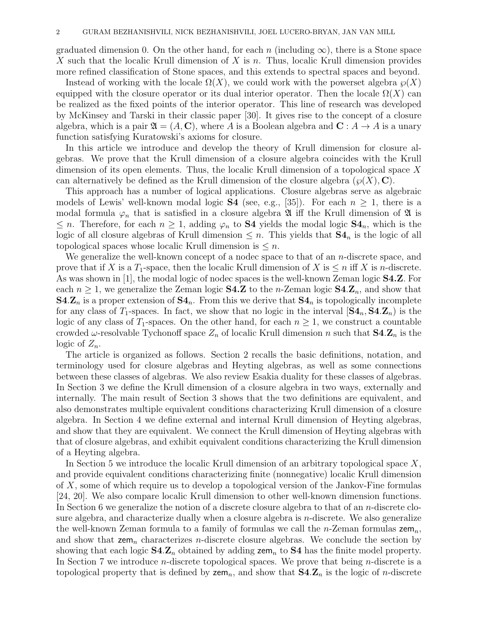graduated dimension 0. On the other hand, for each n (including  $\infty$ ), there is a Stone space X such that the localic Krull dimension of X is n. Thus, localic Krull dimension provides more refined classification of Stone spaces, and this extends to spectral spaces and beyond.

Instead of working with the locale  $\Omega(X)$ , we could work with the powerset algebra  $\wp(X)$ equipped with the closure operator or its dual interior operator. Then the locale  $\Omega(X)$  can be realized as the fixed points of the interior operator. This line of research was developed by McKinsey and Tarski in their classic paper [30]. It gives rise to the concept of a closure algebra, which is a pair  $\mathfrak{A} = (A, \mathbf{C})$ , where A is a Boolean algebra and  $\mathbf{C} : A \to A$  is a unary function satisfying Kuratowski's axioms for closure.

In this article we introduce and develop the theory of Krull dimension for closure algebras. We prove that the Krull dimension of a closure algebra coincides with the Krull dimension of its open elements. Thus, the localic Krull dimension of a topological space X can alternatively be defined as the Krull dimension of the closure algebra  $(\wp(X), \mathbf{C})$ .

This approach has a number of logical applications. Closure algebras serve as algebraic models of Lewis' well-known modal logic **S4** (see, e.g., [35]). For each  $n \ge 1$ , there is a modal formula  $\varphi_n$  that is satisfied in a closure algebra  $\mathfrak A$  iff the Krull dimension of  $\mathfrak A$  is  $\leq n$ . Therefore, for each  $n \geq 1$ , adding  $\varphi_n$  to **S4** yields the modal logic **S4**<sub>n</sub>, which is the logic of all closure algebras of Krull dimension  $\leq n$ . This yields that  $S4_n$  is the logic of all topological spaces whose localic Krull dimension is  $\leq n$ .

We generalize the well-known concept of a nodec space to that of an *n*-discrete space, and prove that if X is a  $T_1$ -space, then the localic Krull dimension of X is  $\leq n$  iff X is n-discrete. As was shown in [1], the modal logic of nodec spaces is the well-known Zeman logic S4.Z. For each  $n \geq 1$ , we generalize the Zeman logic **S4.Z** to the *n*-Zeman logic **S4.Z**<sub>n</sub>, and show that  $S4.Z_n$  is a proper extension of  $S4_n$ . From this we derive that  $S4_n$  is topologically incomplete for any class of T<sub>1</sub>-spaces. In fact, we show that no logic in the interval  $[\mathbf{S4}_n, \mathbf{S4} \mathbf{Z}_n]$  is the logic of any class of  $T_1$ -spaces. On the other hand, for each  $n \geq 1$ , we construct a countable crowded  $\omega$ -resolvable Tychonoff space  $Z_n$  of localic Krull dimension n such that  $S4.Z_n$  is the logic of  $Z_n$ .

The article is organized as follows. Section 2 recalls the basic definitions, notation, and terminology used for closure algebras and Heyting algebras, as well as some connections between these classes of algebras. We also review Esakia duality for these classes of algebras. In Section 3 we define the Krull dimension of a closure algebra in two ways, externally and internally. The main result of Section 3 shows that the two definitions are equivalent, and also demonstrates multiple equivalent conditions characterizing Krull dimension of a closure algebra. In Section 4 we define external and internal Krull dimension of Heyting algebras, and show that they are equivalent. We connect the Krull dimension of Heyting algebras with that of closure algebras, and exhibit equivalent conditions characterizing the Krull dimension of a Heyting algebra.

In Section 5 we introduce the localic Krull dimension of an arbitrary topological space  $X$ , and provide equivalent conditions characterizing finite (nonnegative) localic Krull dimension of X, some of which require us to develop a topological version of the Jankov-Fine formulas [24, 20]. We also compare localic Krull dimension to other well-known dimension functions. In Section 6 we generalize the notion of a discrete closure algebra to that of an  $n$ -discrete closure algebra, and characterize dually when a closure algebra is n-discrete. We also generalize the well-known Zeman formula to a family of formulas we call the *n*-Zeman formulas  $\mathsf{zem}_n$ , and show that  $\text{zem}_n$  characterizes *n*-discrete closure algebras. We conclude the section by showing that each logic  $S4.Z_n$  obtained by adding zem<sub>n</sub> to  $S4$  has the finite model property. In Section 7 we introduce *n*-discrete topological spaces. We prove that being *n*-discrete is a topological property that is defined by  $\text{zem}_n$ , and show that  $\text{S4} \text{Z}_n$  is the logic of *n*-discrete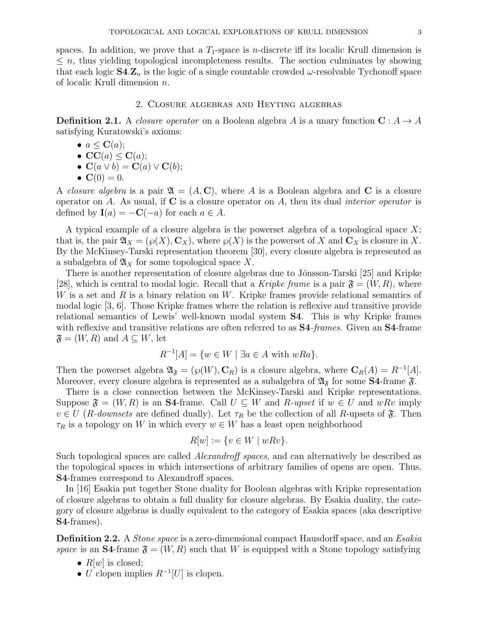spaces. In addition, we prove that a  $T_1$ -space is *n*-discrete iff its localic Krull dimension is  $\leq n$ , thus yielding topological incompleteness results. The section culminates by showing that each logic  $S4.Z_n$  is the logic of a single countable crowded  $\omega$ -resolvable Tychonoff space of localic Krull dimension n.

### 2. Closure algebras and Heyting algebras

**Definition 2.1.** A closure operator on a Boolean algebra A is a unary function  $C: A \rightarrow A$ satisfying Kuratowski's axioms:

- $a \leq \mathbf{C}(a)$ ;
- $CC(a) < C(a)$ ;
- $\mathbf{C}(a \vee b) = \mathbf{C}(a) \vee \mathbf{C}(b);$
- $C(0) = 0$ .

A *closure algebra* is a pair  $\mathfrak{A} = (A, \mathbf{C})$ , where A is a Boolean algebra and C is a closure operator on A. As usual, if  $C$  is a closure operator on A, then its dual *interior operator* is defined by  $\mathbf{I}(a) = -\mathbf{C}(-a)$  for each  $a \in A$ .

A typical example of a closure algebra is the powerset algebra of a topological space  $X$ ; that is, the pair  $\mathfrak{A}_X = (\wp(X), \mathbf{C}_X)$ , where  $\wp(X)$  is the powerset of X and  $\mathbf{C}_X$  is closure in X. By the McKinsey-Tarski representation theorem [30], every closure algebra is represented as a subalgebra of  $\mathfrak{A}_X$  for some topological space X.

There is another representation of closure algebras due to Jónsson-Tarski [25] and Kripke [28], which is central to modal logic. Recall that a Kripke frame is a pair  $\mathfrak{F} = (W, R)$ , where W is a set and R is a binary relation on W. Kripke frames provide relational semantics of modal logic [3, 6]. Those Kripke frames where the relation is reflexive and transitive provide relational semantics of Lewis' well-known modal system S4. This is why Kripke frames with reflexive and transitive relations are often referred to as **S4**-frames. Given an **S4**-frame  $\mathfrak{F} = (W, R)$  and  $A \subseteq W$ , let

$$
R^{-1}[A] = \{ w \in W \mid \exists a \in A \text{ with } wRa \}.
$$

Then the powerset algebra  $\mathfrak{A}_{\mathfrak{F}} = (\wp(W), \mathbf{C}_R)$  is a closure algebra, where  $\mathbf{C}_R(A) = R^{-1}[A]$ . Moreover, every closure algebra is represented as a subalgebra of  $\mathfrak{A}_{\mathfrak{F}}$  for some **S4**-frame  $\mathfrak{F}$ .

There is a close connection between the McKinsey-Tarski and Kripke representations. Suppose  $\mathfrak{F} = (W, R)$  is an S4-frame. Call  $U \subseteq W$  and  $R$ -upset if  $w \in U$  and  $wRv$  imply  $v \in U$  (*R*-downsets are defined dually). Let  $\tau_R$  be the collection of all *R*-upsets of  $\mathfrak{F}$ . Then  $\tau_R$  is a topology on W in which every  $w \in W$  has a least open neighborhood

$$
R[w] := \{ v \in W \mid wRv \}.
$$

Such topological spaces are called Alexandroff spaces, and can alternatively be described as the topological spaces in which intersections of arbitrary families of opens are open. Thus, S4-frames correspond to Alexandroff spaces.

In [16] Esakia put together Stone duality for Boolean algebras with Kripke representation of closure algebras to obtain a full duality for closure algebras. By Esakia duality, the category of closure algebras is dually equivalent to the category of Esakia spaces (aka descriptive S4-frames).

**Definition 2.2.** A *Stone space* is a zero-dimensional compact Hausdorff space, and an *Esakia* space is an **S4**-frame  $\mathfrak{F} = (W, R)$  such that W is equipped with a Stone topology satisfying

- $R[w]$  is closed;
- U clopen implies  $R^{-1}[U]$  is clopen.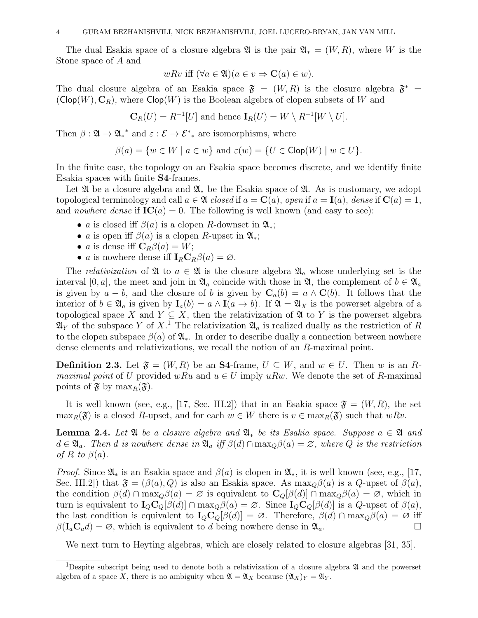The dual Esakia space of a closure algebra  $\mathfrak{A}$  is the pair  $\mathfrak{A}_* = (W, R)$ , where W is the Stone space of A and

$$
wRv \text{ iff } (\forall a \in \mathfrak{A})(a \in v \Rightarrow \mathbf{C}(a) \in w).
$$

The dual closure algebra of an Esakia space  $\mathfrak{F} = (W, R)$  is the closure algebra  $\mathfrak{F}^* =$  $(Clop(W), C_R)$ , where  $Clop(W)$  is the Boolean algebra of clopen subsets of W and

$$
\mathbf{C}_R(U) = R^{-1}[U] \text{ and hence } \mathbf{I}_R(U) = W \setminus R^{-1}[W \setminus U].
$$

Then  $\beta: \mathfrak{A} \to \mathfrak{A}^*$  and  $\varepsilon: \mathcal{E} \to \mathcal{E}^*$  are isomorphisms, where

$$
\beta(a) = \{ w \in W \mid a \in w \} \text{ and } \varepsilon(w) = \{ U \in \text{Clop}(W) \mid w \in U \}.
$$

In the finite case, the topology on an Esakia space becomes discrete, and we identify finite Esakia spaces with finite S4-frames.

Let  $\mathfrak A$  be a closure algebra and  $\mathfrak A_*$  be the Esakia space of  $\mathfrak A$ . As is customary, we adopt topological terminology and call  $a \in \mathfrak{A}$  closed if  $a = \mathbf{C}(a)$ , open if  $a = \mathbf{I}(a)$ , dense if  $\mathbf{C}(a) = 1$ , and *nowhere dense* if  $IC(a) = 0$ . The following is well known (and easy to see):

- a is closed iff  $\beta(a)$  is a clopen R-downset in  $\mathfrak{A}_*$ ;
- a is open iff  $\beta(a)$  is a clopen R-upset in  $\mathfrak{A}_*$ ;
- *a* is dense iff  $C_R\beta(a) = W;$
- a is nowhere dense iff  $I_R C_R \beta(a) = \emptyset$ .

The relativization of  $\mathfrak A$  to  $a \in \mathfrak A$  is the closure algebra  $\mathfrak A_a$  whose underlying set is the interval [0, a], the meet and join in  $\mathfrak{A}_a$  coincide with those in  $\mathfrak{A}$ , the complement of  $b \in \mathfrak{A}_a$ is given by  $a - b$ , and the closure of b is given by  $C_a(b) = a \wedge C(b)$ . It follows that the interior of  $b \in \mathfrak{A}_a$  is given by  $I_a(b) = a \wedge I(a \to b)$ . If  $\mathfrak{A} = \mathfrak{A}_X$  is the powerset algebra of a topological space X and  $Y \subseteq X$ , then the relativization of  $\mathfrak A$  to Y is the powerset algebra  $\mathfrak{A}_Y$  of the subspace Y of  $X$ .<sup>1</sup> The relativization  $\mathfrak{A}_a$  is realized dually as the restriction of R to the clopen subspace  $\beta(a)$  of  $\mathfrak{A}_*$ . In order to describe dually a connection between nowhere dense elements and relativizations, we recall the notion of an R-maximal point.

**Definition 2.3.** Let  $\mathfrak{F} = (W, R)$  be an **S4**-frame,  $U \subseteq W$ , and  $w \in U$ . Then w is an R*maximal point* of U provided wRu and  $u \in U$  imply uRw. We denote the set of R-maximal points of  $\mathfrak{F}$  by  $\max_{R}(\mathfrak{F}).$ 

It is well known (see, e.g., [17, Sec. III.2]) that in an Esakia space  $\mathfrak{F} = (W, R)$ , the set  $\max_R(\mathfrak{F})$  is a closed R-upset, and for each  $w \in W$  there is  $v \in \max_R(\mathfrak{F})$  such that  $wRv$ .

**Lemma 2.4.** Let  $\mathfrak{A}$  be a closure algebra and  $\mathfrak{A}_*$  be its Esakia space. Suppose  $a \in \mathfrak{A}$  and  $d \in \mathfrak{A}_a$ . Then d is nowhere dense in  $\mathfrak{A}_a$  iff  $\beta(d) \cap \max_Q \beta(a) = \varnothing$ , where Q is the restriction of R to  $\beta(a)$ .

*Proof.* Since  $\mathfrak{A}_*$  is an Esakia space and  $\beta(a)$  is clopen in  $\mathfrak{A}_*$ , it is well known (see, e.g., [17, Sec. III.2]) that  $\mathfrak{F} = (\beta(a), Q)$  is also an Esakia space. As  $\max_{Q} \beta(a)$  is a Q-upset of  $\beta(a)$ , the condition  $\beta(d) \cap \max_Q \beta(a) = \emptyset$  is equivalent to  $C_Q[\beta(d)] \cap \max_Q \beta(a) = \emptyset$ , which in turn is equivalent to  $I_Q C_Q[\beta(d)] \cap \max_Q \beta(a) = \emptyset$ . Since  $I_Q C_Q[\beta(d)]$  is a Q-upset of  $\beta(a)$ , the last condition is equivalent to  $I_{Q}C_{Q}[\beta(d)] = \emptyset$ . Therefore,  $\beta(d) \cap \max_{Q} \beta(a) = \emptyset$  iff  $\beta(I_a C_a d) = \emptyset$ , which is equivalent to d being nowhere dense in  $\mathfrak{A}_a$ .

We next turn to Heyting algebras, which are closely related to closure algebras [31, 35].

<sup>&</sup>lt;sup>1</sup>Despite subscript being used to denote both a relativization of a closure algebra  $\mathfrak A$  and the powerset algebra of a space X, there is no ambiguity when  $\mathfrak{A} = \mathfrak{A}_X$  because  $(\mathfrak{A}_X)_Y = \mathfrak{A}_Y$ .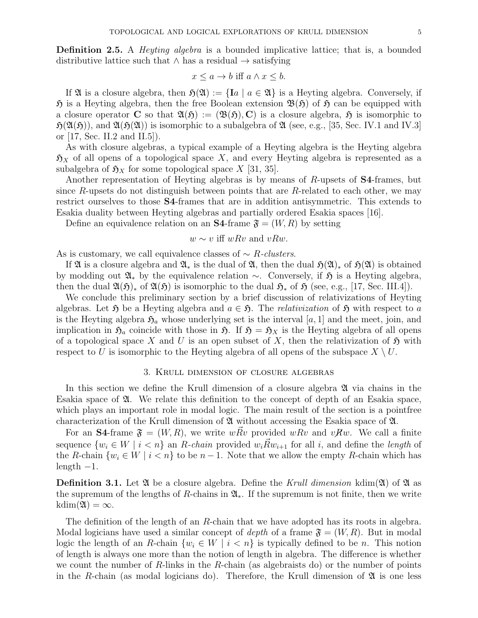**Definition 2.5.** A *Heyting algebra* is a bounded implicative lattice; that is, a bounded distributive lattice such that  $\land$  has a residual  $\rightarrow$  satisfying

$$
x \le a \to b \text{ iff } a \wedge x \le b.
$$

If  $\mathfrak A$  is a closure algebra, then  $\mathfrak H(\mathfrak A):=\{Ia \mid a \in \mathfrak A\}$  is a Heyting algebra. Conversely, if  $\mathfrak H$  is a Heyting algebra, then the free Boolean extension  $\mathfrak B(\mathfrak H)$  of  $\mathfrak H$  can be equipped with a closure operator C so that  $\mathfrak{A}(\mathfrak{H}) := (\mathfrak{B}(\mathfrak{H}), C)$  is a closure algebra,  $\mathfrak{H}$  is isomorphic to  $\mathfrak{H}(\mathfrak{A}(\mathfrak{H}))$ , and  $\mathfrak{A}(\mathfrak{H}(\mathfrak{A}))$  is isomorphic to a subalgebra of  $\mathfrak{A}$  (see, e.g., [35, Sec. IV.1 and IV.3] or [17, Sec. II.2 and II.5]).

As with closure algebras, a typical example of a Heyting algebra is the Heyting algebra  $\mathfrak{H}_X$  of all opens of a topological space X, and every Heyting algebra is represented as a subalgebra of  $\mathfrak{H}_X$  for some topological space X [31, 35].

Another representation of Heyting algebras is by means of R-upsets of S4-frames, but since R-upsets do not distinguish between points that are R-related to each other, we may restrict ourselves to those S4-frames that are in addition antisymmetric. This extends to Esakia duality between Heyting algebras and partially ordered Esakia spaces [16].

Define an equivalence relation on an **S4**-frame  $\mathfrak{F} = (W, R)$  by setting

## $w \sim v$  iff wRv and vRw.

As is customary, we call equivalence classes of  $\sim$  *R-clusters*.

If  $\mathfrak A$  is a closure algebra and  $\mathfrak A_*$  is the dual of  $\mathfrak A$ , then the dual  $\mathfrak H(\mathfrak A)_*$  of  $\mathfrak H(\mathfrak A)$  is obtained by modding out  $\mathfrak{A}_*$  by the equivalence relation ∼. Conversely, if  $\mathfrak{H}$  is a Heyting algebra, then the dual  $\mathfrak{A}(\mathfrak{H})_*$  of  $\mathfrak{A}(\mathfrak{H})$  is isomorphic to the dual  $\mathfrak{H}_*$  of  $\mathfrak{H}$  (see, e.g., [17, Sec. III.4]).

We conclude this preliminary section by a brief discussion of relativizations of Heyting algebras. Let  $\mathfrak H$  be a Heyting algebra and  $a \in \mathfrak H$ . The *relativization* of  $\mathfrak H$  with respect to a is the Heyting algebra  $\mathfrak{H}_a$  whose underlying set is the interval [a, 1] and the meet, join, and implication in  $\mathfrak{H}_a$  coincide with those in  $\mathfrak{H}$ . If  $\mathfrak{H} = \mathfrak{H}_X$  is the Heyting algebra of all opens of a topological space X and U is an open subset of X, then the relativization of  $\mathfrak H$  with respect to U is isomorphic to the Heyting algebra of all opens of the subspace  $X \setminus U$ .

## 3. Krull dimension of closure algebras

In this section we define the Krull dimension of a closure algebra  $\mathfrak{A}$  via chains in the Esakia space of A. We relate this definition to the concept of depth of an Esakia space, which plays an important role in modal logic. The main result of the section is a pointfree characterization of the Krull dimension of  $\mathfrak A$  without accessing the Esakia space of  $\mathfrak A$ .

For an **S4**-frame  $\mathfrak{F} = (W, R)$ , we write  $w\overrightarrow{R}v$  provided  $wRv$  and  $vRw$ . We call a finite sequence  $\{w_i \in W \mid i < n\}$  an R-chain provided  $w_i \vec{R} w_{i+1}$  for all i, and define the length of the R-chain  $\{w_i \in W \mid i \leq n\}$  to be  $n-1$ . Note that we allow the empty R-chain which has  $length -1$ .

**Definition 3.1.** Let  $\mathfrak{A}$  be a closure algebra. Define the Krull dimension kdim( $\mathfrak{A}$ ) of  $\mathfrak{A}$  as the supremum of the lengths of R-chains in  $\mathfrak{A}_*$ . If the supremum is not finite, then we write  $kdim(\mathfrak{A}) = \infty.$ 

The definition of the length of an R-chain that we have adopted has its roots in algebra. Modal logicians have used a similar concept of depth of a frame  $\mathfrak{F} = (W, R)$ . But in modal logic the length of an R-chain  $\{w_i \in W \mid i \leq n\}$  is typically defined to be n. This notion of length is always one more than the notion of length in algebra. The difference is whether we count the number of  $R$ -links in the  $R$ -chain (as algebraists do) or the number of points in the R-chain (as modal logicians do). Therefore, the Krull dimension of  $\mathfrak A$  is one less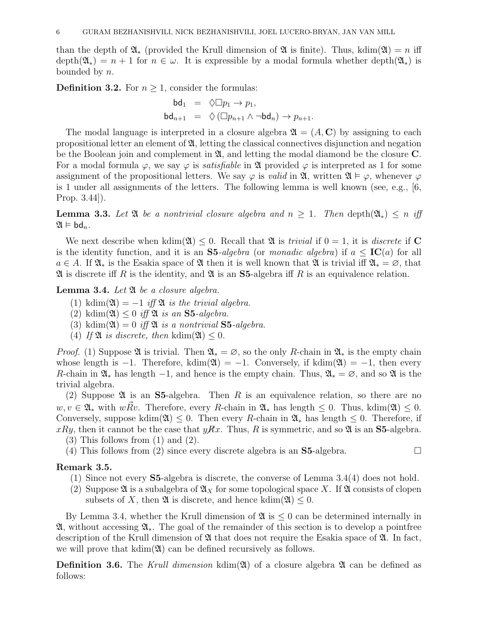than the depth of  $\mathfrak{A}_*$  (provided the Krull dimension of  $\mathfrak A$  is finite). Thus, kdim( $\mathfrak{A}$ ) = n iff  $depth(\mathfrak{A}_*) = n + 1$  for  $n \in \omega$ . It is expressible by a modal formula whether depth $(\mathfrak{A}_*)$  is bounded by n.

**Definition 3.2.** For  $n \geq 1$ , consider the formulas:

$$
bd_1 = \Diamond \Box p_1 \to p_1,
$$
  

$$
bd_{n+1} = \Diamond (\Box p_{n+1} \land \neg bd_n) \to p_{n+1}.
$$

The modal language is interpreted in a closure algebra  $\mathfrak{A} = (A, \mathbb{C})$  by assigning to each propositional letter an element of  $\mathfrak{A}$ , letting the classical connectives disjunction and negation be the Boolean join and complement in  $\mathfrak{A}$ , and letting the modal diamond be the closure C. For a modal formula  $\varphi$ , we say  $\varphi$  is *satisfiable* in  $\mathfrak A$  provided  $\varphi$  is interpreted as 1 for some assignment of the propositional letters. We say  $\varphi$  is *valid* in  $\mathfrak{A}$ , written  $\mathfrak{A} \models \varphi$ , whenever  $\varphi$ is 1 under all assignments of the letters. The following lemma is well known (see, e.g., [6, Prop. 3.44]).

**Lemma 3.3.** Let  $\mathfrak{A}$  be a nontrivial closure algebra and  $n \geq 1$ . Then depth $(\mathfrak{A}_*) \leq n$  iff  $\mathfrak{A} \models \mathsf{bd}_n$ .

We next describe when kdim( $\mathfrak{A}$ )  $\leq 0$ . Recall that  $\mathfrak{A}$  is *trivial* if  $0 = 1$ , it is *discrete* if **C** is the identity function, and it is an  $S5-algebra$  (or monadic algebra) if  $a \leq IC(a)$  for all  $a \in A$ . If  $\mathfrak{A}_*$  is the Esakia space of  $\mathfrak A$  then it is well known that  $\mathfrak A$  is trivial iff  $\mathfrak{A}_* = \emptyset$ , that  $\mathfrak A$  is discrete iff R is the identity, and  $\mathfrak A$  is an  $S_5$ -algebra iff R is an equivalence relation.

**Lemma 3.4.** Let  $\mathfrak A$  be a closure algebra.

- (1) kdim( $\mathfrak{A}$ ) = −1 iff  $\mathfrak{A}$  is the trivial algebra.
- (2) kdim( $\mathfrak{A}$ )  $\leq 0$  *iff*  $\mathfrak{A}$  *is an* **S5**-algebra.
- (3) kdim( $\mathfrak{A}$ ) = 0 iff  $\mathfrak{A}$  is a nontrivial **S5**-algebra.
- (4) If  $\mathfrak{A}$  is discrete, then kdim( $\mathfrak{A}$ ) < 0.

*Proof.* (1) Suppose  $\mathfrak{A}$  is trivial. Then  $\mathfrak{A}_* = \emptyset$ , so the only R-chain in  $\mathfrak{A}_*$  is the empty chain whose length is  $-1$ . Therefore, kdim( $\mathfrak{A}$ ) =  $-1$ . Conversely, if kdim( $\mathfrak{A}$ ) =  $-1$ , then every R-chain in  $\mathfrak{A}_*$  has length  $-1$ , and hence is the empty chain. Thus,  $\mathfrak{A}_* = \emptyset$ , and so  $\mathfrak{A}$  is the trivial algebra.

(2) Suppose  $\mathfrak A$  is an S5-algebra. Then R is an equivalence relation, so there are no  $w, v \in \mathfrak{A}_*$  with  $w\overline{R}v$ . Therefore, every R-chain in  $\mathfrak{A}_*$  has length  $\leq 0$ . Thus, kdim $(\mathfrak{A}) \leq 0$ . Conversely, suppose kdim( $\mathfrak{A}$ )  $\leq 0$ . Then every R-chain in  $\mathfrak{A}_*$  has length  $\leq 0$ . Therefore, if  $xRy$ , then it cannot be the case that  $yRx$ . Thus, R is symmetric, and so  $\mathfrak A$  is an S5-algebra.

- (3) This follows from (1) and (2).
- (4) This follows from (2) since every discrete algebra is an S5-algebra.  $\square$

## Remark 3.5.

- (1) Since not every S5-algebra is discrete, the converse of Lemma 3.4(4) does not hold.
- (2) Suppose  $\mathfrak A$  is a subalgebra of  $\mathfrak A_X$  for some topological space X. If  $\mathfrak A$  consists of clopen subsets of X, then  $\mathfrak{A}$  is discrete, and hence kdim( $\mathfrak{A}$ ) < 0.

By Lemma 3.4, whether the Krull dimension of  $\mathfrak{A}$  is  $\leq 0$  can be determined internally in A, without accessing A∗. The goal of the remainder of this section is to develop a pointfree description of the Krull dimension of  $\mathfrak A$  that does not require the Esakia space of  $\mathfrak A$ . In fact, we will prove that  $kdim(\mathfrak{A})$  can be defined recursively as follows.

**Definition 3.6.** The Krull dimension kdim( $\mathfrak{A}$ ) of a closure algebra  $\mathfrak{A}$  can be defined as follows: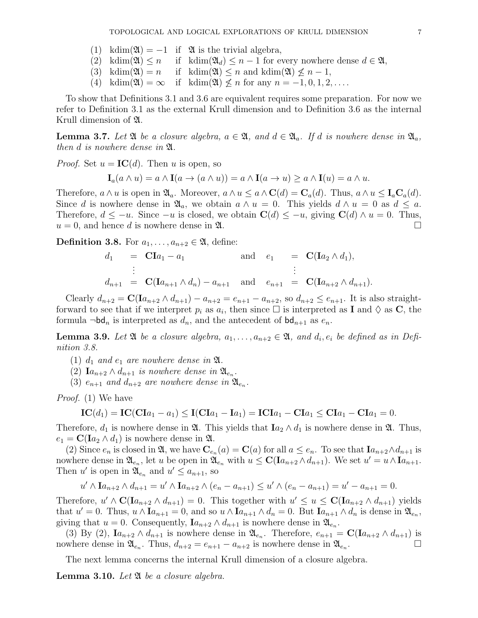- (1) kdim( $\mathfrak{A}$ ) = −1 if  $\mathfrak{A}$  is the trivial algebra,
- (2) kdim( $\mathfrak{A}$ )  $\leq n$  if kdim( $\mathfrak{A}_d$ )  $\leq n-1$  for every nowhere dense  $d \in \mathfrak{A}$ ,
- (3) kdim( $\mathfrak{A}$ ) = n if kdim( $\mathfrak{A}$ ) < n and kdim( $\mathfrak{A}$ )  $\leq n-1$ ,
- (4) kdim( $\mathfrak{A}$ ) =  $\infty$  if kdim( $\mathfrak{A}$ )  $\leq n$  for any  $n = -1, 0, 1, 2, \ldots$ .

To show that Definitions 3.1 and 3.6 are equivalent requires some preparation. For now we refer to Definition 3.1 as the external Krull dimension and to Definition 3.6 as the internal Krull dimension of A.

**Lemma 3.7.** Let  $\mathfrak{A}$  be a closure algebra,  $a \in \mathfrak{A}$ , and  $d \in \mathfrak{A}_a$ . If d is nowhere dense in  $\mathfrak{A}_a$ , then d is nowhere dense in A.

*Proof.* Set  $u = IC(d)$ . Then u is open, so

$$
\mathbf{I}_a(a \wedge u) = a \wedge \mathbf{I}(a \to (a \wedge u)) = a \wedge \mathbf{I}(a \to u) \ge a \wedge \mathbf{I}(u) = a \wedge u.
$$

Therefore,  $a \wedge u$  is open in  $\mathfrak{A}_a$ . Moreover,  $a \wedge u \leq a \wedge \mathbf{C}(d) = \mathbf{C}_a(d)$ . Thus,  $a \wedge u \leq \mathbf{I}_a \mathbf{C}_a(d)$ . Since d is nowhere dense in  $\mathfrak{A}_a$ , we obtain  $a \wedge u = 0$ . This yields  $d \wedge u = 0$  as  $d \leq a$ . Therefore,  $d \leq -u$ . Since  $-u$  is closed, we obtain  $\mathbf{C}(d) \leq -u$ , giving  $\mathbf{C}(d) \wedge u = 0$ . Thus,  $u = 0$ , and hence d is nowhere dense in  $\mathfrak{A}$ .

**Definition 3.8.** For  $a_1, \ldots, a_{n+2} \in \mathfrak{A}$ , define:

$$
d_1 = \mathbf{CI}a_1 - a_1 \quad \text{and} \quad e_1 = \mathbf{C}(\mathbf{I}a_2 \wedge d_1),
$$
  
\n
$$
\vdots \quad \vdots
$$
  
\n
$$
d_{n+1} = \mathbf{C}(\mathbf{I}a_{n+1} \wedge d_n) - a_{n+1} \quad \text{and} \quad e_{n+1} = \mathbf{C}(\mathbf{I}a_{n+2} \wedge d_{n+1}).
$$

Clearly  $d_{n+2} = \mathbf{C}(\mathbf{I}a_{n+2} \wedge d_{n+1}) - a_{n+2} = e_{n+1} - a_{n+2}$ , so  $d_{n+2} \le e_{n+1}$ . It is also straightforward to see that if we interpret  $p_i$  as  $a_i$ , then since  $\Box$  is interpreted as **I** and  $\Diamond$  as **C**, the formula  $\neg bd_n$  is interpreted as  $d_n$ , and the antecedent of  $bd_{n+1}$  as  $e_n$ .

**Lemma 3.9.** Let  $\mathfrak{A}$  be a closure algebra,  $a_1, \ldots, a_{n+2} \in \mathfrak{A}$ , and  $d_i, e_i$  be defined as in Definition 3.8.

- (1)  $d_1$  and  $e_1$  are nowhere dense in  $\mathfrak{A}$ .
- (2)  $Ia_{n+2} \wedge d_{n+1}$  is nowhere dense in  $\mathfrak{A}_{e_n}$ .
- (3)  $e_{n+1}$  and  $d_{n+2}$  are nowhere dense in  $\mathfrak{A}_{e_n}$ .

Proof. (1) We have

$$
IC(d_1) = IC(Cla_1 - a_1) \leq I(Cla_1 - Ia_1) = ICIa_1 - CIa_1 \leq CIa_1 - CIa_1 = 0.
$$

Therefore,  $d_1$  is nowhere dense in  $\mathfrak{A}$ . This yields that  $I_{a_2} \wedge d_1$  is nowhere dense in  $\mathfrak{A}$ . Thus,  $e_1 = \mathbf{C}(\mathbf{I}a_2 \wedge d_1)$  is nowhere dense in  $\mathfrak{A}$ .

(2) Since  $e_n$  is closed in  $\mathfrak{A}$ , we have  $\mathbf{C}_{e_n}(a) = \mathbf{C}(a)$  for all  $a \leq e_n$ . To see that  $Ia_{n+2} \wedge d_{n+1}$  is nowhere dense in  $\mathfrak{A}_{e_n}$ , let u be open in  $\mathfrak{A}_{e_n}$  with  $u \leq C(\mathbf{I}a_{n+2} \wedge d_{n+1})$ . We set  $u' = u \wedge \mathbf{I}a_{n+1}$ . Then u' is open in  $\mathfrak{A}_{e_n}$  and  $u' \leq a_{n+1}$ , so

$$
u' \wedge \text{I}a_{n+2} \wedge d_{n+1} = u' \wedge \text{I}a_{n+2} \wedge (e_n - a_{n+1}) \le u' \wedge (e_n - a_{n+1}) = u' - a_{n+1} = 0.
$$

Therefore,  $u' \wedge C(Ia_{n+2} \wedge d_{n+1}) = 0$ . This together with  $u' \leq u \leq C(Ia_{n+2} \wedge d_{n+1})$  yields that  $u' = 0$ . Thus,  $u \wedge \mathbf{I}a_{n+1} = 0$ , and so  $u \wedge \mathbf{I}a_{n+1} \wedge d_n = 0$ . But  $\mathbf{I}a_{n+1} \wedge d_n$  is dense in  $\mathfrak{A}_{e_n}$ , giving that  $u = 0$ . Consequently,  $Ia_{n+2} \wedge d_{n+1}$  is nowhere dense in  $\mathfrak{A}_{e_n}$ .

(3) By (2),  $Ia_{n+2} \wedge d_{n+1}$  is nowhere dense in  $\mathfrak{A}_{e_n}$ . Therefore,  $e_{n+1} = \mathbf{C}(Ia_{n+2} \wedge d_{n+1})$  is nowhere dense in  $\mathfrak{A}_{e_n}$ . Thus,  $d_{n+2} = e_{n+1} - a_{n+2}$  is nowhere dense in  $\mathfrak{A}_{e_n}$ . The contract of  $\Box$ 

The next lemma concerns the internal Krull dimension of a closure algebra.

**Lemma 3.10.** Let  $\mathfrak{A}$  be a closure algebra.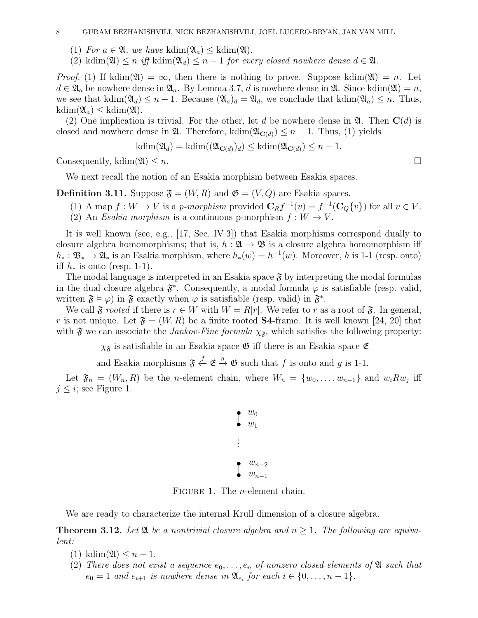#### 8 GURAM BEZHANISHVILI, NICK BEZHANISHVILI, JOEL LUCERO-BRYAN, JAN VAN MILL

- (1) For  $a \in \mathfrak{A}$ , we have kdim $(\mathfrak{A}_a) \leq kdim(\mathfrak{A})$ .
- (2) kdim( $\mathfrak{A}$ )  $\leq n$  iff kdim( $\mathfrak{A}_d$ )  $\leq n-1$  for every closed nowhere dense  $d \in \mathfrak{A}$ .

*Proof.* (1) If kdim( $\mathfrak{A}$ ) =  $\infty$ , then there is nothing to prove. Suppose kdim( $\mathfrak{A}$ ) = n. Let  $d \in \mathfrak{A}_a$  be nowhere dense in  $\mathfrak{A}_a$ . By Lemma 3.7, d is nowhere dense in  $\mathfrak{A}$ . Since kdim( $\mathfrak{A}$ ) = n, we see that kdim( $\mathfrak{A}_d$ )  $\leq n-1$ . Because  $(\mathfrak{A}_a)_d = \mathfrak{A}_d$ , we conclude that kdim( $\mathfrak{A}_a$ )  $\leq n$ . Thus,  $kdim(\mathfrak{A}_a) \leq kdim(\mathfrak{A}).$ 

(2) One implication is trivial. For the other, let d be nowhere dense in  $\mathfrak{A}$ . Then  $\mathbf{C}(d)$  is closed and nowhere dense in  $\mathfrak{A}$ . Therefore, kdim( $\mathfrak{A}_{\mathbf{C}(d)} \leq n-1$ . Thus, (1) yields

$$
kdim(\mathfrak{A}_d) = kdim((\mathfrak{A}_{\mathbf{C}(d)})_d) \leq kdim(\mathfrak{A}_{\mathbf{C}(d)}) \leq n - 1.
$$

Consequently, kdim( $\mathfrak{A}$ )  $\leq n$ .

We next recall the notion of an Esakia morphism between Esakia spaces.

**Definition 3.11.** Suppose  $\mathfrak{F} = (W, R)$  and  $\mathfrak{G} = (V, Q)$  are Esakia spaces.

- (1) A map  $f: W \to V$  is a p-morphism provided  $\mathbf{C}_R f^{-1}(v) = f^{-1}(\mathbf{C}_Q\{v\})$  for all  $v \in V$ .
- (2) An Esakia morphism is a continuous p-morphism  $f: W \to V$ .

It is well known (see, e.g., [17, Sec. IV.3]) that Esakia morphisms correspond dually to closure algebra homomorphisms; that is,  $h : \mathfrak{A} \to \mathfrak{B}$  is a closure algebra homomorphism iff  $h_* : \mathfrak{B}_* \to \mathfrak{A}_*$  is an Esakia morphism, where  $h_*(w) = h^{-1}(w)$ . Moreover, h is 1-1 (resp. onto) iff  $h_*$  is onto (resp. 1-1).

The modal language is interpreted in an Esakia space  $\mathfrak{F}$  by interpreting the modal formulas in the dual closure algebra  $\mathfrak{F}^*$ . Consequently, a modal formula  $\varphi$  is satisfiable (resp. valid, written  $\mathfrak{F} \models \varphi$  in  $\mathfrak{F}$  exactly when  $\varphi$  is satisfiable (resp. valid) in  $\mathfrak{F}^*$ .

We call  $\mathfrak F$  *rooted* if there is  $r \in W$  with  $W = R[r]$ . We refer to r as a root of  $\mathfrak F$ . In general, r is not unique. Let  $\mathfrak{F} = (W, R)$  be a finite rooted **S4**-frame. It is well known [24, 20] that with  $\mathfrak F$  we can associate the *Jankov-Fine formula*  $\chi_{\mathfrak F}$ , which satisfies the following property:

 $\chi_{\mathfrak{F}}$  is satisfiable in an Esakia space  $\mathfrak{G}$  iff there is an Esakia space  $\mathfrak{E}$ 

and Esakia morphisms  $\mathfrak{F} \stackrel{f}{\leftarrow} \mathfrak{E} \stackrel{g}{\rightarrow} \mathfrak{G}$  such that f is onto and g is 1-1.

Let  $\mathfrak{F}_n = (W_n, R)$  be the *n*-element chain, where  $W_n = \{w_0, \ldots, w_{n-1}\}\$  and  $w_i R w_j$  iff  $j \leq i$ ; see Figure 1.

$$
\begin{array}{c}\n\bullet \quad w_0 \\
w_1 \\
\vdots \\
w_{n-2} \\
w_{n-1}\n\end{array}
$$

FIGURE 1. The *n*-element chain.

We are ready to characterize the internal Krull dimension of a closure algebra.

**Theorem 3.12.** Let  $\mathfrak A$  be a nontrivial closure algebra and  $n > 1$ . The following are equivalent:

- $(1)$  kdim $(\mathfrak{A}) \leq n-1$ .
- (2) There does not exist a sequence  $e_0, \ldots, e_n$  of nonzero closed elements of  $\mathfrak A$  such that  $e_0 = 1$  and  $e_{i+1}$  is nowhere dense in  $\mathfrak{A}_{e_i}$  for each  $i \in \{0, \ldots, n-1\}$ .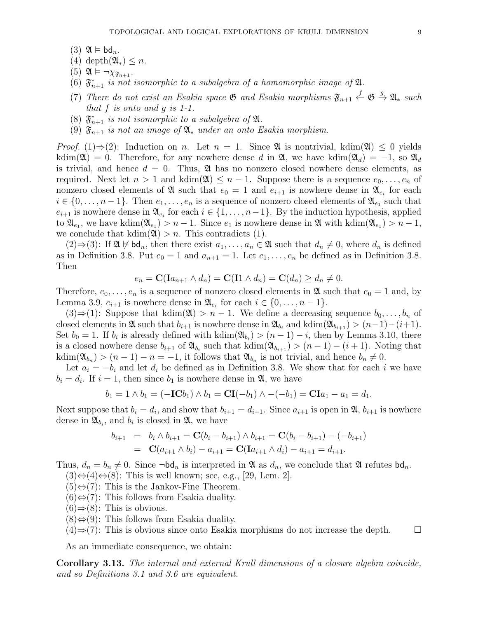- $(3)$   $\mathfrak{A} \models \mathsf{bd}_n$ .
- (4) depth $(\mathfrak{A}_*) \leq n$ .
- (5)  $\mathfrak{A} \models \neg \chi_{\mathfrak{F}_{n+1}}$ .
- (6)  $\mathfrak{F}_{n+1}^*$  is not isomorphic to a subalgebra of a homomorphic image of  $\mathfrak{A}$ .
- (7) There do not exist an Esakia space  $\mathfrak{G}$  and Esakia morphisms  $\mathfrak{F}_{n+1} \overset{f}{\leftarrow} \mathfrak{G} \overset{g}{\rightarrow} \mathfrak{A}_*$  such that  $f$  is onto and  $g$  is 1-1.
- (8)  $\mathfrak{F}_{n+1}^*$  is not isomorphic to a subalgebra of  $\mathfrak{A}$ .
- (9)  $\mathfrak{F}_{n+1}$  is not an image of  $\mathfrak{A}_*$  under an onto Esakia morphism.

*Proof.* (1)⇒(2): Induction on *n*. Let  $n = 1$ . Since  $\mathfrak A$  is nontrivial, kdim( $\mathfrak A$ )  $\leq 0$  yields kdim( $\mathfrak{A}$ ) = 0. Therefore, for any nowhere dense d in  $\mathfrak{A}$ , we have kdim( $\mathfrak{A}_d$ ) = -1, so  $\mathfrak{A}_d$ is trivial, and hence  $d = 0$ . Thus,  $\mathfrak{A}$  has no nonzero closed nowhere dense elements, as required. Next let  $n > 1$  and kdim( $\mathfrak{A}$ )  $\leq n - 1$ . Suppose there is a sequence  $e_0, \ldots, e_n$  of nonzero closed elements of  $\mathfrak A$  such that  $e_0 = 1$  and  $e_{i+1}$  is nowhere dense in  $\mathfrak A_{e_i}$  for each  $i \in \{0, \ldots, n-1\}$ . Then  $e_1, \ldots, e_n$  is a sequence of nonzero closed elements of  $\mathfrak{A}_{e_1}$  such that  $e_{i+1}$  is nowhere dense in  $\mathfrak{A}_{e_i}$  for each  $i \in \{1, \ldots, n-1\}$ . By the induction hypothesis, applied to  $\mathfrak{A}_{e_1}$ , we have kdim $(\mathfrak{A}_{e_1}) > n-1$ . Since  $e_1$  is nowhere dense in  $\mathfrak{A}$  with kdim $(\mathfrak{A}_{e_1}) > n-1$ , we conclude that  $kdim(\mathfrak{A}) > n$ . This contradicts (1).

 $(2) \Rightarrow (3)$ : If  $\mathfrak{A} \not\models \mathsf{bd}_n$ , then there exist  $a_1, \ldots, a_n \in \mathfrak{A}$  such that  $d_n \neq 0$ , where  $d_n$  is defined as in Definition 3.8. Put  $e_0 = 1$  and  $a_{n+1} = 1$ . Let  $e_1, \ldots, e_n$  be defined as in Definition 3.8. Then

$$
e_n = \mathbf{C}(\mathbf{I}a_{n+1} \wedge d_n) = \mathbf{C}(\mathbf{I}1 \wedge d_n) = \mathbf{C}(d_n) \ge d_n \neq 0.
$$

Therefore,  $e_0, \ldots, e_n$  is a sequence of nonzero closed elements in  $\mathfrak A$  such that  $e_0 = 1$  and, by Lemma 3.9,  $e_{i+1}$  is nowhere dense in  $\mathfrak{A}_{e_i}$  for each  $i \in \{0, \ldots, n-1\}$ .

 $(3) \Rightarrow (1)$ : Suppose that kdim(20) > n − 1. We define a decreasing sequence  $b_0, \ldots, b_n$  of closed elements in  $\mathfrak A$  such that  $b_{i+1}$  is nowhere dense in  $\mathfrak A_{b_i}$  and kdim $(\mathfrak A_{b_{i+1}}) > (n-1)-(i+1)$ . Set  $b_0 = 1$ . If  $b_i$  is already defined with  $\text{kdim}(\mathfrak{A}_{b_i}) > (n-1) - i$ , then by Lemma 3.10, there is a closed nowhere dense  $b_{i+1}$  of  $\mathfrak{A}_{b_i}$  such that kdim $(\mathfrak{A}_{b_{i+1}}) > (n-1) - (i+1)$ . Noting that  $\text{kdim}(\mathfrak{A}_{b_n}) > (n-1) - n = -1$ , it follows that  $\mathfrak{A}_{b_n}$  is not trivial, and hence  $b_n \neq 0$ .

Let  $a_i = -b_i$  and let  $d_i$  be defined as in Definition 3.8. We show that for each i we have  $b_i = d_i$ . If  $i = 1$ , then since  $b_1$  is nowhere dense in  $\mathfrak{A}$ , we have

$$
b_1 = 1 \wedge b_1 = (-\mathbf{IC}b_1) \wedge b_1 = \mathbf{CI}(-b_1) \wedge -(-b_1) = \mathbf{CI}a_1 - a_1 = d_1.
$$

Next suppose that  $b_i = d_i$ , and show that  $b_{i+1} = d_{i+1}$ . Since  $a_{i+1}$  is open in  $\mathfrak{A}, b_{i+1}$  is nowhere dense in  $\mathfrak{A}_{b_i}$ , and  $b_i$  is closed in  $\mathfrak{A}$ , we have

$$
b_{i+1} = b_i \wedge b_{i+1} = \mathbf{C}(b_i - b_{i+1}) \wedge b_{i+1} = \mathbf{C}(b_i - b_{i+1}) - (-b_{i+1})
$$
  
=  $\mathbf{C}(a_{i+1} \wedge b_i) - a_{i+1} = \mathbf{C}(\mathbf{I}a_{i+1} \wedge d_i) - a_{i+1} = d_{i+1}.$ 

Thus,  $d_n = b_n \neq 0$ . Since  $\neg \mathsf{bd}_n$  is interpreted in  $\mathfrak{A}$  as  $d_n$ , we conclude that  $\mathfrak{A}$  refutes  $\mathsf{bd}_n$ .

 $(3) \Leftrightarrow (4) \Leftrightarrow (8)$ : This is well known; see, e.g., [29, Lem. 2].

 $(5) \Leftrightarrow (7)$ : This is the Jankov-Fine Theorem.

- $(6) \Leftrightarrow (7)$ : This follows from Esakia duality.
- $(6) \Rightarrow (8)$ : This is obvious.
- $(8) \Leftrightarrow (9)$ : This follows from Esakia duality.
- $(4) \Rightarrow (7)$ : This is obvious since onto Esakia morphisms do not increase the depth.  $\Box$

As an immediate consequence, we obtain:

Corollary 3.13. The internal and external Krull dimensions of a closure algebra coincide, and so Definitions 3.1 and 3.6 are equivalent.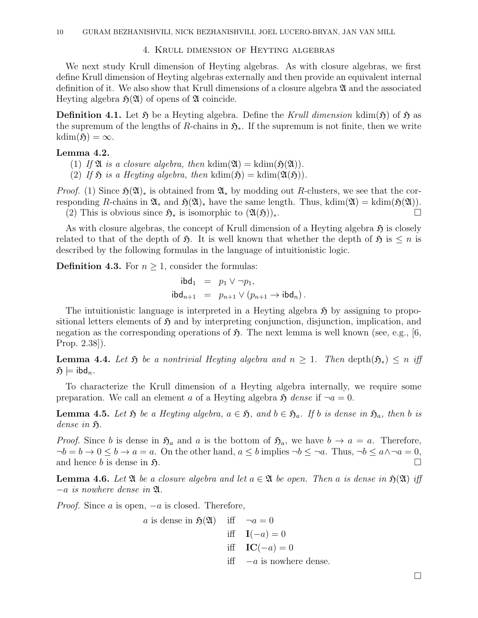#### 4. Krull dimension of Heyting algebras

We next study Krull dimension of Heyting algebras. As with closure algebras, we first define Krull dimension of Heyting algebras externally and then provide an equivalent internal definition of it. We also show that Krull dimensions of a closure algebra  $\mathfrak A$  and the associated Heyting algebra  $\mathfrak{H}(\mathfrak{A})$  of opens of  $\mathfrak A$  coincide.

**Definition 4.1.** Let  $\mathfrak{H}$  be a Heyting algebra. Define the Krull dimension kdim( $\mathfrak{H}$ ) of  $\mathfrak{H}$  as the supremum of the lengths of R-chains in  $\mathfrak{H}_{*}$ . If the supremum is not finite, then we write  $kdim(\mathfrak{H}) = \infty.$ 

## Lemma 4.2.

(1) If  $\mathfrak{A}$  is a closure algebra, then kdim( $\mathfrak{A}$ ) = kdim( $\mathfrak{H}(\mathfrak{A})$ ).

(2) If  $\mathfrak{H}$  is a Heyting algebra, then kdim $(\mathfrak{H}) =$ kdim $(\mathfrak{A}(\mathfrak{H}))$ .

*Proof.* (1) Since  $\mathfrak{H}(\mathfrak{A})_*$  is obtained from  $\mathfrak{A}_*$  by modding out R-clusters, we see that the corresponding R-chains in  $\mathfrak{A}_*$  and  $\mathfrak{H}(\mathfrak{A})_*$  have the same length. Thus, kdim( $\mathfrak{A}$ ) = kdim( $\mathfrak{H}(\mathfrak{A})$ ). (2) This is obvious since  $\mathfrak{H}_*$  is isomorphic to  $(\mathfrak{A}(\mathfrak{H}))_*$ .

As with closure algebras, the concept of Krull dimension of a Heyting algebra  $\mathfrak{H}$  is closely related to that of the depth of  $\mathfrak{H}$ . It is well known that whether the depth of  $\mathfrak{H}$  is  $\leq n$  is described by the following formulas in the language of intuitionistic logic.

**Definition 4.3.** For  $n \geq 1$ , consider the formulas:

$$
\begin{array}{rcl}\n\mathsf{ibd}_1 & = & p_1 \vee \neg p_1, \\
\mathsf{ibd}_{n+1} & = & p_{n+1} \vee (p_{n+1} \to \mathsf{ibd}_n)\n\end{array}
$$

The intuitionistic language is interpreted in a Heyting algebra  $\mathfrak H$  by assigning to propositional letters elements of  $\mathfrak H$  and by interpreting conjunction, disjunction, implication, and negation as the corresponding operations of  $\mathfrak{H}$ . The next lemma is well known (see, e.g., [6, Prop. 2.38]).

**Lemma 4.4.** Let  $\mathfrak{H}$  be a nontrivial Heyting algebra and  $n \geq 1$ . Then depth $(\mathfrak{H}_*) \leq n$  iff  $\mathfrak{H} \models \text{ibd}_n$ .

To characterize the Krull dimension of a Heyting algebra internally, we require some preparation. We call an element a of a Heyting algebra  $\mathfrak{H}$  dense if  $\neg a = 0$ .

**Lemma 4.5.** Let  $\mathfrak{H}$  be a Heyting algebra,  $a \in \mathfrak{H}$ , and  $b \in \mathfrak{H}_a$ . If b is dense in  $\mathfrak{H}_a$ , then b is dense in  $\mathfrak{H}.$ 

*Proof.* Since b is dense in  $\mathfrak{H}_a$  and a is the bottom of  $\mathfrak{H}_a$ , we have  $b \to a = a$ . Therefore,  $\neg b = b \rightarrow 0 \le b \rightarrow a = a$ . On the other hand,  $a \le b$  implies  $\neg b \le \neg a$ . Thus,  $\neg b \le a \land \neg a = 0$ , and hence b is dense in  $\mathfrak{H}$ .

**Lemma 4.6.** Let  $\mathfrak{A}$  be a closure algebra and let  $a \in \mathfrak{A}$  be open. Then a is dense in  $\mathfrak{H}(\mathfrak{A})$  iff  $-a$  is nowhere dense in  $\mathfrak{A}$ .

*Proof.* Since a is open,  $-a$  is closed. Therefore,

*a* is dense in 
$$
\mathfrak{H}(\mathfrak{A})
$$
 iff  $\neg a = 0$   
iff  $\mathbf{I}(-a) = 0$   
iff  $\mathbf{IC}(-a) = 0$   
iff  $\neg a$  is nowhere dense.

 $\Box$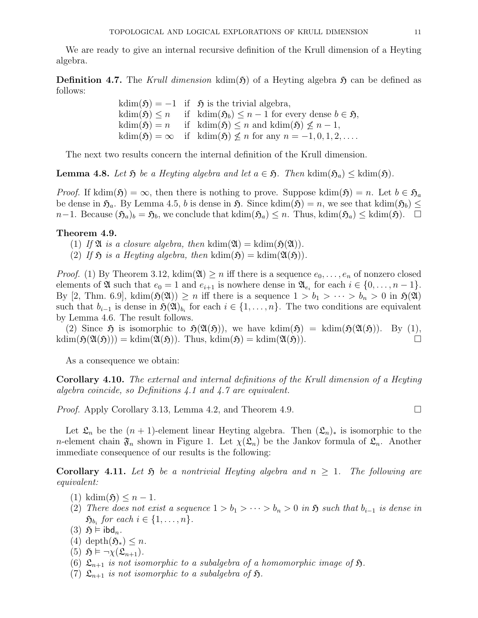We are ready to give an internal recursive definition of the Krull dimension of a Heyting algebra.

**Definition 4.7.** The Krull dimension kdim( $\mathfrak{H}$ ) of a Heyting algebra  $\mathfrak{H}$  can be defined as follows:

> $kdim(\mathfrak{H}) = -1$  if  $\mathfrak{H}$  is the trivial algebra, kdim( $\mathfrak{H}$ ) ≤ n if kdim( $\mathfrak{H}_b$ ) ≤ n − 1 for every dense  $b \in \mathfrak{H}$ ,  $kdim(\mathfrak{H}) = n$  if  $kdim(\mathfrak{H}) \leq n$  and  $kdim(\mathfrak{H}) \leq n-1$ ,  $kdim(\mathfrak{H}) = \infty$  if  $kdim(\mathfrak{H}) \nleq n$  for any  $n = -1, 0, 1, 2, \ldots$ .

The next two results concern the internal definition of the Krull dimension.

**Lemma 4.8.** Let  $\mathfrak{H}$  be a Heyting algebra and let  $a \in \mathfrak{H}$ . Then kdim $(\mathfrak{H}_a) \leq$  kdim $(\mathfrak{H})$ .

*Proof.* If kdim( $\mathfrak{H}$ ) =  $\infty$ , then there is nothing to prove. Suppose kdim( $\mathfrak{H}$ ) = n. Let  $b \in \mathfrak{H}_a$ be dense in  $\mathfrak{H}_a$ . By Lemma 4.5, b is dense in  $\mathfrak{H}$ . Since kdim $(\mathfrak{H}) = n$ , we see that kdim $(\mathfrak{H}_b) \leq$  $n-1$ . Because  $(\mathfrak{H}_a)_b = \mathfrak{H}_b$ , we conclude that kdim $(\mathfrak{H}_a) \leq n$ . Thus, kdim $(\mathfrak{H}_a) \leq kdim(\mathfrak{H})$ . □

### Theorem 4.9.

- (1) If  $\mathfrak A$  is a closure algebra, then kdim $(\mathfrak A) =$ kdim $(\mathfrak H(\mathfrak A)).$
- (2) If  $\mathfrak H$  is a Heyting algebra, then kdim $(\mathfrak H) =$ kdim $(\mathfrak{A}(\mathfrak H))$ .

*Proof.* (1) By Theorem 3.12, kdim( $\mathfrak{A}$ )  $\geq n$  iff there is a sequence  $e_0, \ldots, e_n$  of nonzero closed elements of  $\mathfrak A$  such that  $e_0 = 1$  and  $e_{i+1}$  is nowhere dense in  $\mathfrak A_{e_i}$  for each  $i \in \{0, \ldots, n-1\}$ . By [2, Thm. 6.9], kdim( $\mathfrak{H}(\mathfrak{A})$ )  $\geq n$  iff there is a sequence  $1 > b_1 > \cdots > b_n > 0$  in  $\mathfrak{H}(\mathfrak{A})$ such that  $b_{i-1}$  is dense in  $\mathfrak{H}(\mathfrak{A})_{b_i}$  for each  $i \in \{1, \ldots, n\}$ . The two conditions are equivalent by Lemma 4.6. The result follows.

(2) Since  $\mathfrak H$  is isomorphic to  $\mathfrak H(\mathfrak{A}(\mathfrak{H}))$ , we have kdim $(\mathfrak H) =$  kdim $(\mathfrak H(\mathfrak{A}(\mathfrak{H}))$ . By (1),  $k\dim(\mathfrak{H}(\mathfrak{A}(\mathfrak{H}))) = k\dim(\mathfrak{A}(\mathfrak{H}))$ . Thus,  $k\dim(\mathfrak{H}) = k\dim(\mathfrak{A}(\mathfrak{H}))$ .

As a consequence we obtain:

Corollary 4.10. The external and internal definitions of the Krull dimension of a Heyting algebra coincide, so Definitions 4.1 and 4.7 are equivalent.

*Proof.* Apply Corollary 3.13, Lemma 4.2, and Theorem 4.9.

Let  $\mathfrak{L}_n$  be the  $(n + 1)$ -element linear Heyting algebra. Then  $(\mathfrak{L}_n)_*$  is isomorphic to the n-element chain  $\mathfrak{F}_n$  shown in Figure 1. Let  $\chi(\mathfrak{L}_n)$  be the Jankov formula of  $\mathfrak{L}_n$ . Another immediate consequence of our results is the following:

**Corollary 4.11.** Let  $\mathfrak{H}$  be a nontrivial Heyting algebra and  $n \geq 1$ . The following are equivalent:

- (1) kdim( $\mathfrak{H}$ )  $\leq n-1$ .
- (2) There does not exist a sequence  $1 > b_1 > \cdots > b_n > 0$  in  $\mathfrak{H}$  such that  $b_{i-1}$  is dense in  $\mathfrak{H}_{b_i}$  for each  $i \in \{1, \ldots, n\}.$
- (3)  $\mathfrak{H} \models \mathsf{ibd}_n$ .
- (4) depth $(\mathfrak{H}_*) \leq n$ .
- (5)  $\mathfrak{H} \models \neg \chi(\mathfrak{L}_{n+1}).$
- (6)  $\mathfrak{L}_{n+1}$  is not isomorphic to a subalgebra of a homomorphic image of  $\mathfrak{H}$ .
- (7)  $\mathfrak{L}_{n+1}$  is not isomorphic to a subalgebra of  $\mathfrak{H}$ .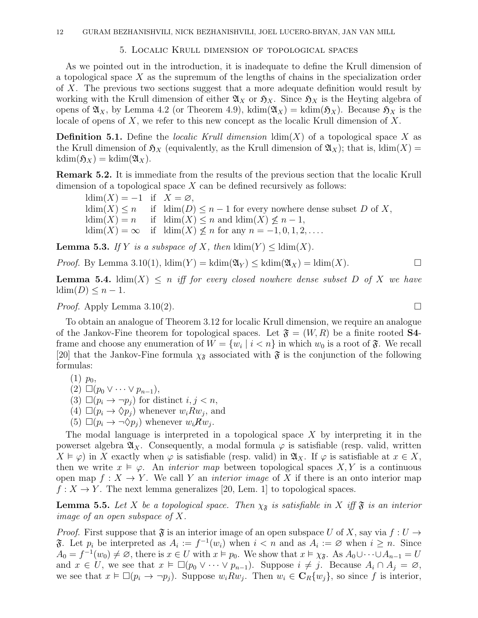#### 5. Localic Krull dimension of topological spaces

As we pointed out in the introduction, it is inadequate to define the Krull dimension of a topological space  $X$  as the supremum of the lengths of chains in the specialization order of X. The previous two sections suggest that a more adequate definition would result by working with the Krull dimension of either  $\mathfrak{A}_X$  or  $\mathfrak{H}_X$ . Since  $\mathfrak{H}_X$  is the Heyting algebra of opens of  $\mathfrak{A}_X$ , by Lemma 4.2 (or Theorem 4.9), kdim $(\mathfrak{A}_X) = \text{kdim}(\mathfrak{H}_X)$ . Because  $\mathfrak{H}_X$  is the locale of opens of X, we refer to this new concept as the localic Krull dimension of  $X$ .

**Definition 5.1.** Define the *localic Krull dimension*  $\dim(X)$  of a topological space X as the Krull dimension of  $\mathfrak{H}_X$  (equivalently, as the Krull dimension of  $\mathfrak{A}_X$ ); that is, ldim(X) =  $kdim(\mathfrak{H}_X) = kdim(\mathfrak{A}_X).$ 

Remark 5.2. It is immediate from the results of the previous section that the localic Krull dimension of a topological space  $X$  can be defined recursively as follows:

 $ldim(X) = -1$  if  $X = \emptyset$ ,  $ldim(X) \leq n$  if  $ldim(D) \leq n-1$  for every nowhere dense subset D of X,  $ldim(X) = n$  if  $ldim(X) \leq n$  and  $ldim(X) \leq n-1$ ,  $ldim(X) = \infty$  if  $ldim(X) \nleq n$  for any  $n = -1, 0, 1, 2, \ldots$ .

**Lemma 5.3.** If Y is a subspace of X, then  $\dim(Y) \leq \dim(X)$ .

*Proof.* By Lemma 3.10(1),  $\text{ldim}(Y) = \text{kdim}(\mathfrak{A}_Y) \leq \text{kdim}(\mathfrak{A}_X) = \text{ldim}(X)$ .

**Lemma 5.4.**  $\text{ldim}(X) \leq n$  iff for every closed nowhere dense subset D of X we have  $\dim(D) \leq n-1.$ 

*Proof.* Apply Lemma 3.10(2).

To obtain an analogue of Theorem 3.12 for localic Krull dimension, we require an analogue of the Jankov-Fine theorem for topological spaces. Let  $\mathfrak{F} = (W, R)$  be a finite rooted **S4**frame and choose any enumeration of  $W = \{w_i \mid i \leq n\}$  in which  $w_0$  is a root of  $\mathfrak{F}$ . We recall [20] that the Jankov-Fine formula  $\chi_{\mathfrak{F}}$  associated with  $\mathfrak{F}$  is the conjunction of the following formulas:

$$
(1) p_0,
$$

- $(2) \ \Box (p_0 \vee \cdots \vee p_{n-1}),$
- (3)  $\Box (p_i \rightarrow \neg p_j)$  for distinct  $i, j < n$ ,
- (4)  $\Box(p_i \rightarrow \Diamond p_j)$  whenever  $w_i R w_j$ , and
- (5)  $\square(\dot{p}_i \rightarrow \neg \Diamond \dot{p}_j)$  whenever  $w_i \dot{R} w_j$ .

The modal language is interpreted in a topological space  $X$  by interpreting it in the powerset algebra  $\mathfrak{A}_X$ . Consequently, a modal formula  $\varphi$  is satisfiable (resp. valid, written  $X \vDash \varphi$  in X exactly when  $\varphi$  is satisfiable (resp. valid) in  $\mathfrak{A}_X$ . If  $\varphi$  is satisfiable at  $x \in X$ , then we write  $x \vDash \varphi$ . An *interior map* between topological spaces X, Y is a continuous open map  $f: X \to Y$ . We call Y an *interior image* of X if there is an onto interior map  $f: X \to Y$ . The next lemma generalizes [20, Lem. 1] to topological spaces.

**Lemma 5.5.** Let X be a topological space. Then  $\chi_{\tilde{s}}$  is satisfiable in X iff  $\tilde{s}$  is an interior image of an open subspace of  $X$ .

*Proof.* First suppose that  $\mathfrak{F}$  is an interior image of an open subspace U of X, say via  $f: U \to$  $\mathfrak{F}$ . Let  $p_i$  be interpreted as  $A_i := f^{-1}(w_i)$  when  $i < n$  and as  $A_i := \emptyset$  when  $i \geq n$ . Since  $A_0 = f^{-1}(w_0) \neq \emptyset$ , there is  $x \in U$  with  $x \models p_0$ . We show that  $x \models \chi_{\mathfrak{F}}$ . As  $A_0 \cup \cdots \cup A_{n-1} = U$ and  $x \in U$ , we see that  $x \models \Box(p_0 \vee \cdots \vee p_{n-1})$ . Suppose  $i \neq j$ . Because  $A_i \cap A_j = \varnothing$ , we see that  $x \in \Box(p_i \to \neg p_j)$ . Suppose  $w_i R w_j$ . Then  $w_i \in \mathbf{C}_R\{w_j\}$ , so since f is interior,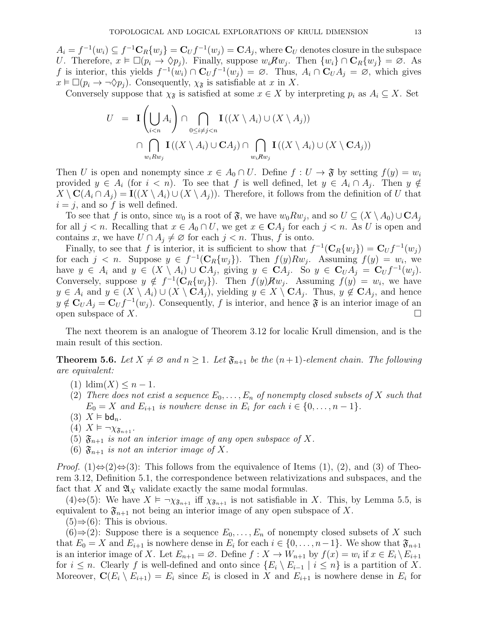$A_i = f^{-1}(w_i) \subseteq f^{-1} \mathbf{C}_R \{w_j\} = \mathbf{C}_U f^{-1}(w_j) = \mathbf{C} A_j$ , where  $\mathbf{C}_U$  denotes closure in the subspace U. Therefore,  $x \in \Box(p_i \to \Diamond p_j)$ . Finally, suppose  $w_i R w_j$ . Then  $\{w_i\} \cap \mathbf{C}_R \{w_j\} = \emptyset$ . As f is interior, this yields  $f^{-1}(w_i) \cap C_U f^{-1}(w_j) = \emptyset$ . Thus,  $A_i \cap C_U A_j = \emptyset$ , which gives  $x \vDash \Box (p_i \rightarrow \neg \Diamond p_j)$ . Consequently,  $\chi_{\mathfrak{F}}$  is satisfiable at x in X.

Conversely suppose that  $\chi_{\mathfrak{F}}$  is satisfied at some  $x \in X$  by interpreting  $p_i$  as  $A_i \subseteq X$ . Set

$$
U = \mathbf{I} \left( \bigcup_{i < n} A_i \right) \cap \bigcap_{0 \le i \ne j < n} \mathbf{I} \left( (X \setminus A_i) \cup (X \setminus A_j) \right)
$$
\n
$$
\cap \bigcap_{w_i R w_j} \mathbf{I} \left( (X \setminus A_i) \cup \mathbf{C} A_j \right) \cap \bigcap_{w_i R w_j} \mathbf{I} \left( (X \setminus A_i) \cup (X \setminus \mathbf{C} A_j) \right)
$$

Then U is open and nonempty since  $x \in A_0 \cap U$ . Define  $f: U \to \mathfrak{F}$  by setting  $f(y) = w_i$ provided  $y \in A_i$  (for  $i < n$ ). To see that f is well defined, let  $y \in A_i \cap A_j$ . Then  $y \notin A_i$  $X \setminus \mathbf{C}(A_i \cap A_j) = \mathbf{I}((X \setminus A_i) \cup (X \setminus A_j)).$  Therefore, it follows from the definition of U that  $i = j$ , and so f is well defined.

To see that f is onto, since  $w_0$  is a root of  $\mathfrak{F}$ , we have  $w_0 R w_j$ , and so  $U \subseteq (X \setminus A_0) \cup \mathbf{C} A_j$ for all  $j < n$ . Recalling that  $x \in A_0 \cap U$ , we get  $x \in \mathbf{C}A_j$  for each  $j < n$ . As U is open and contains x, we have  $U \cap A_j \neq \emptyset$  for each  $j < n$ . Thus, f is onto.

Finally, to see that f is interior, it is sufficient to show that  $f^{-1}(\mathbf{C}_R\{w_j\}) = \mathbf{C}_U f^{-1}(w_j)$ for each  $j < n$ . Suppose  $y \in f^{-1}(\mathbb{C}_R\{w_j\})$ . Then  $f(y)Rw_j$ . Assuming  $f(y) = w_i$ , we have  $y \in A_i$  and  $y \in (X \setminus A_i) \cup CA_j$ , giving  $y \in CA_j$ . So  $y \in C_U A_j = C_U f^{-1}(w_j)$ . Conversely, suppose  $y \notin f^{-1}(\mathbf{C}_R\{w_j\})$ . Then  $f(y)Rw_j$ . Assuming  $f(y) = w_i$ , we have  $y \in A_i$  and  $y \in (X \setminus A_i) \cup (X \setminus CA_j)$ , yielding  $y \in X \setminus CA_j$ . Thus,  $y \notin CA_j$ , and hence  $y \notin C_U A_j = C_U f^{-1}(w_j)$ . Consequently, f is interior, and hence  $\mathfrak{F}$  is an interior image of an open subspace of X.

The next theorem is an analogue of Theorem 3.12 for localic Krull dimension, and is the main result of this section.

**Theorem 5.6.** Let  $X \neq \emptyset$  and  $n \geq 1$ . Let  $\mathfrak{F}_{n+1}$  be the  $(n+1)$ -element chain. The following are equivalent:

- (1)  $\dim(X) \leq n-1$ .
- (2) There does not exist a sequence  $E_0, \ldots, E_n$  of nonempty closed subsets of X such that  $E_0 = X$  and  $E_{i+1}$  is nowhere dense in  $E_i$  for each  $i \in \{0, \ldots, n-1\}$ .
- (3)  $X \models bd_n$ .
- (4)  $X \models \neg \chi_{\mathfrak{F}_{n+1}}$ .
- (5)  $\mathfrak{F}_{n+1}$  is not an interior image of any open subspace of X.
- (6)  $\mathfrak{F}_{n+1}$  is not an interior image of X.

*Proof.* (1) $\Leftrightarrow$ (2) $\Leftrightarrow$ (3): This follows from the equivalence of Items (1), (2), and (3) of Theorem 3.12, Definition 5.1, the correspondence between relativizations and subspaces, and the fact that X and  $\mathfrak{A}_X$  validate exactly the same modal formulas.

(4)⇔(5): We have  $X \models \neg \chi_{\mathfrak{F}_{n+1}}$  iff  $\chi_{\mathfrak{F}_{n+1}}$  is not satisfiable in X. This, by Lemma 5.5, is equivalent to  $\mathfrak{F}_{n+1}$  not being an interior image of any open subspace of X.

 $(5) \Rightarrow (6)$ : This is obvious.

 $(6) \Rightarrow (2)$ : Suppose there is a sequence  $E_0, \ldots, E_n$  of nonempty closed subsets of X such that  $E_0 = X$  and  $E_{i+1}$  is nowhere dense in  $E_i$  for each  $i \in \{0, \ldots, n-1\}$ . We show that  $\mathfrak{F}_{n+1}$ is an interior image of X. Let  $E_{n+1} = \emptyset$ . Define  $f: X \to W_{n+1}$  by  $f(x) = w_i$  if  $x \in E_i \setminus E_{i+1}$ for  $i \leq n$ . Clearly f is well-defined and onto since  $\{E_i \setminus E_{i-1} \mid i \leq n\}$  is a partition of X. Moreover,  $\mathbf{C}(E_i \setminus E_{i+1}) = E_i$  since  $E_i$  is closed in X and  $E_{i+1}$  is nowhere dense in  $E_i$  for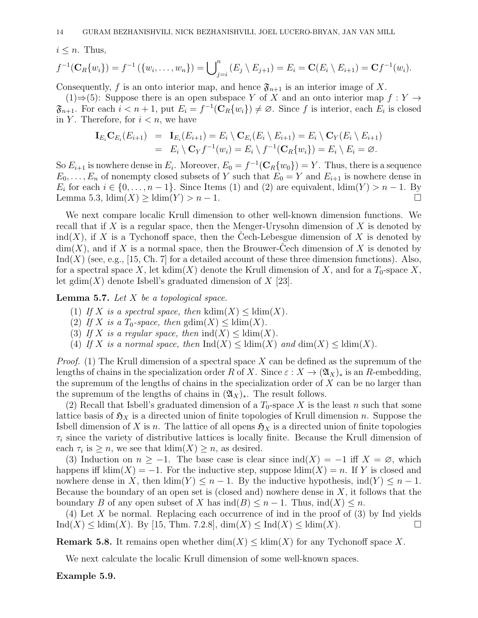$i \leq n$ . Thus,

$$
f^{-1}(\mathbf{C}_R\{w_i\}) = f^{-1}(\{w_i,\ldots,w_n\}) = \bigcup_{j=i}^n (E_j \setminus E_{j+1}) = E_i = \mathbf{C}(E_i \setminus E_{i+1}) = \mathbf{C}f^{-1}(w_i).
$$

Consequently, f is an onto interior map, and hence  $\mathfrak{F}_{n+1}$  is an interior image of X.

(1)⇒(5): Suppose there is an open subspace Y of X and an onto interior map  $f: Y \to Y$  $\mathfrak{F}_{n+1}$ . For each  $i < n+1$ , put  $E_i = f^{-1}(\mathbf{C}_R\{w_i\}) \neq \emptyset$ . Since f is interior, each  $E_i$  is closed in Y. Therefore, for  $i < n$ , we have

$$
\mathbf{I}_{E_i} \mathbf{C}_{E_i}(E_{i+1}) = \mathbf{I}_{E_i}(E_{i+1}) = E_i \setminus \mathbf{C}_{E_i}(E_i \setminus E_{i+1}) = E_i \setminus \mathbf{C}_Y(E_i \setminus E_{i+1})
$$
  
=  $E_i \setminus \mathbf{C}_Y f^{-1}(w_i) = E_i \setminus f^{-1}(\mathbf{C}_R\{w_i\}) = E_i \setminus E_i = \varnothing.$ 

So  $E_{i+1}$  is nowhere dense in  $E_i$ . Moreover,  $E_0 = f^{-1}(\mathbf{C}_R\{w_0\}) = Y$ . Thus, there is a sequence  $E_0, \ldots, E_n$  of nonempty closed subsets of Y such that  $E_0 = Y$  and  $E_{i+1}$  is nowhere dense in  $E_i$  for each  $i \in \{0, \ldots, n-1\}$ . Since Items (1) and (2) are equivalent,  $\dim(Y) > n-1$ . By Lemma 5.3,  $\dim(X) \geq \dim(Y) > n - 1$ .

We next compare localic Krull dimension to other well-known dimension functions. We recall that if X is a regular space, then the Menger-Urysohn dimension of X is denoted by  $ind(X)$ , if X is a Tychonoff space, then the Cech-Lebesgue dimension of X is denoted by  $\dim(X)$ , and if X is a normal space, then the Brouwer-Cech dimension of X is denoted by  $\text{Ind}(X)$  (see, e.g., [15, Ch. 7] for a detailed account of these three dimension functions). Also, for a spectral space X, let kdim(X) denote the Krull dimension of X, and for a  $T_0$ -space X, let gdim(X) denote Isbell's graduated dimension of  $X$  [23].

**Lemma 5.7.** Let  $X$  be a topological space.

- (1) If X is a spectral space, then  $\text{kdim}(X) \leq \text{ldim}(X)$ .
- (2) If X is a  $T_0$ -space, then  $\text{gdim}(X) \leq \text{ldim}(X)$ .
- (3) If X is a regular space, then  $\text{ind}(X) \leq \text{ldim}(X)$ .
- (4) If X is a normal space, then  $\text{Ind}(X) < \text{ldim}(X)$  and  $\dim(X) < \text{ldim}(X)$ .

*Proof.* (1) The Krull dimension of a spectral space X can be defined as the supremum of the lengths of chains in the specialization order R of X. Since  $\varepsilon$  :  $X \to (\mathfrak{A}_X)_*$  is an R-embedding, the supremum of the lengths of chains in the specialization order of X can be no larger than the supremum of the lengths of chains in  $(\mathfrak{A}_X)_*$ . The result follows.

(2) Recall that Isbell's graduated dimension of a  $T_0$ -space X is the least n such that some lattice basis of  $\mathfrak{H}_X$  is a directed union of finite topologies of Krull dimension n. Suppose the Isbell dimension of X is n. The lattice of all opens  $\mathfrak{H}_X$  is a directed union of finite topologies  $\tau_i$  since the variety of distributive lattices is locally finite. Because the Krull dimension of each  $\tau_i$  is  $\geq n$ , we see that  $\dim(X) \geq n$ , as desired.

(3) Induction on  $n \geq -1$ . The base case is clear since  $\text{ind}(X) = -1$  iff  $X = \emptyset$ , which happens iff  $\text{ldim}(X) = -1$ . For the inductive step, suppose  $\text{ldim}(X) = n$ . If Y is closed and nowhere dense in X, then  $\dim(Y) \leq n-1$ . By the inductive hypothesis,  $\mathrm{ind}(Y) \leq n-1$ . Because the boundary of an open set is (closed and) nowhere dense in  $X$ , it follows that the boundary B of any open subset of X has  $\text{ind}(B) \leq n-1$ . Thus,  $\text{ind}(X) \leq n$ .

(4) Let X be normal. Replacing each occurrence of ind in the proof of  $(3)$  by Ind yields  $\text{Ind}(X) \leq \text{ldim}(X)$ . By [15, Thm. 7.2.8],  $\dim(X) \leq \text{Ind}(X) \leq \text{ldim}(X)$ .

**Remark 5.8.** It remains open whether  $\dim(X) \leq \dim(X)$  for any Tychonoff space X.

We next calculate the localic Krull dimension of some well-known spaces.

Example 5.9.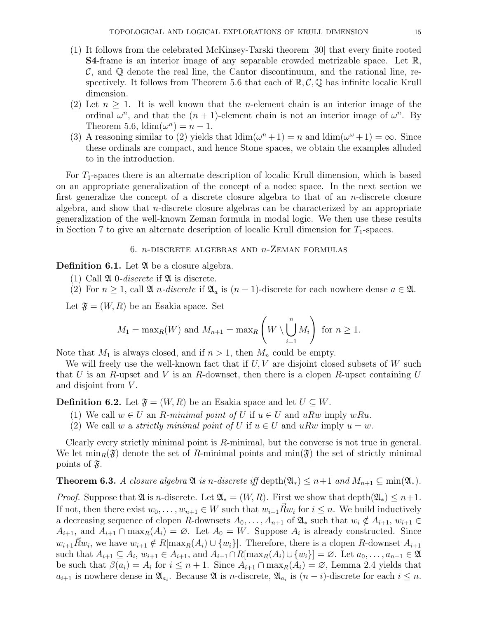- (1) It follows from the celebrated McKinsey-Tarski theorem [30] that every finite rooted S4-frame is an interior image of any separable crowded metrizable space. Let R,  $\mathcal{C}$ , and  $\mathbb{Q}$  denote the real line, the Cantor discontinuum, and the rational line, respectively. It follows from Theorem 5.6 that each of  $\mathbb{R}, \mathcal{C}, \mathbb{Q}$  has infinite localic Krull dimension.
- (2) Let  $n > 1$ . It is well known that the *n*-element chain is an interior image of the ordinal  $\omega^n$ , and that the  $(n + 1)$ -element chain is not an interior image of  $\omega^n$ . By Theorem 5.6,  $\text{ldim}(\omega^n) = n - 1$ .
- (3) A reasoning similar to (2) yields that  $\dim(\omega^{n} + 1) = n$  and  $\dim(\omega^{\omega} + 1) = \infty$ . Since these ordinals are compact, and hence Stone spaces, we obtain the examples alluded to in the introduction.

For  $T_1$ -spaces there is an alternate description of localic Krull dimension, which is based on an appropriate generalization of the concept of a nodec space. In the next section we first generalize the concept of a discrete closure algebra to that of an  $n$ -discrete closure algebra, and show that *n*-discrete closure algebras can be characterized by an appropriate generalization of the well-known Zeman formula in modal logic. We then use these results in Section 7 to give an alternate description of localic Krull dimension for  $T_1$ -spaces.

## 6.  $n$ -DISCRETE ALGEBRAS AND  $n$ -ZEMAN FORMULAS

**Definition 6.1.** Let  $\mathfrak{A}$  be a closure algebra.

- (1) Call  $\mathfrak A$  0-discrete if  $\mathfrak A$  is discrete.
- (2) For  $n \geq 1$ , call  $\mathfrak{A}$  *n*-discrete if  $\mathfrak{A}_a$  is  $(n-1)$ -discrete for each nowhere dense  $a \in \mathfrak{A}$ .

Let  $\mathfrak{F} = (W, R)$  be an Esakia space. Set

$$
M_1 = \max_R(W)
$$
 and  $M_{n+1} = \max_R \left(W \setminus \bigcup_{i=1}^n M_i\right)$  for  $n \ge 1$ .

Note that  $M_1$  is always closed, and if  $n > 1$ , then  $M_n$  could be empty.

We will freely use the well-known fact that if  $U, V$  are disjoint closed subsets of W such that U is an R-upset and V is an R-downset, then there is a clopen R-upset containing U and disjoint from  $V$ .

**Definition 6.2.** Let  $\mathfrak{F} = (W, R)$  be an Esakia space and let  $U \subseteq W$ .

- (1) We call  $w \in U$  an R-minimal point of U if  $u \in U$  and uRw imply wRu.
- (2) We call w a *strictly minimal point of U* if  $u \in U$  and  $uRw$  imply  $u = w$ .

Clearly every strictly minimal point is R-minimal, but the converse is not true in general. We let  $\min_R(\mathfrak{F})$  denote the set of R-minimal points and  $\min(\mathfrak{F})$  the set of strictly minimal points of  $\mathfrak{F}$ .

**Theorem 6.3.** A closure algebra  $\mathfrak{A}$  is n-discrete iff depth $(\mathfrak{A}_*) \leq n+1$  and  $M_{n+1} \subseteq \min(\mathfrak{A}_*)$ .

*Proof.* Suppose that  $\mathfrak{A}$  is *n*-discrete. Let  $\mathfrak{A}_* = (W, R)$ . First we show that depth $(\mathfrak{A}_*) \leq n+1$ . If not, then there exist  $w_0, \ldots, w_{n+1} \in W$  such that  $w_{i+1} \vec{R} w_i$  for  $i \leq n$ . We build inductively a decreasing sequence of clopen R-downsets  $A_0, \ldots, A_{n+1}$  of  $\mathfrak{A}_*$  such that  $w_i \notin A_{i+1}, w_{i+1} \in$  $A_{i+1}$ , and  $A_{i+1} \cap \max_R(A_i) = \emptyset$ . Let  $A_0 = W$ . Suppose  $A_i$  is already constructed. Since  $w_{i+1}\vec{R}w_i$ , we have  $w_{i+1} \notin R[\max_R(A_i) \cup \{w_i\}]$ . Therefore, there is a clopen R-downset  $A_{i+1}$ such that  $A_{i+1} \subseteq A_i$ ,  $w_{i+1} \in A_{i+1}$ , and  $A_{i+1} \cap R[\max_R(A_i) \cup \{w_i\}] = \emptyset$ . Let  $a_0, \ldots, a_{n+1} \in \mathfrak{A}$ be such that  $\beta(a_i) = A_i$  for  $i \leq n+1$ . Since  $A_{i+1} \cap \max_R(A_i) = \emptyset$ , Lemma 2.4 yields that  $a_{i+1}$  is nowhere dense in  $\mathfrak{A}_{a_i}$ . Because  $\mathfrak{A}$  is n-discrete,  $\mathfrak{A}_{a_i}$  is  $(n-i)$ -discrete for each  $i \leq n$ .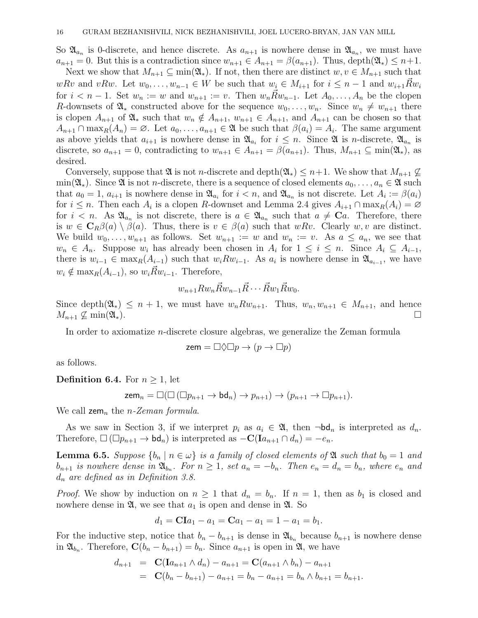So  $\mathfrak{A}_{a_n}$  is 0-discrete, and hence discrete. As  $a_{n+1}$  is nowhere dense in  $\mathfrak{A}_{a_n}$ , we must have  $a_{n+1} = 0$ . But this is a contradiction since  $w_{n+1} \in A_{n+1} = \beta(a_{n+1})$ . Thus, depth $(\mathfrak{A}_*) \leq n+1$ .

Next we show that  $M_{n+1} \subseteq \min(\mathfrak{A}_*)$ . If not, then there are distinct  $w, v \in M_{n+1}$  such that wRv and vRw. Let  $w_0, \ldots, w_{n-1} \in W$  be such that  $w_i \in M_{i+1}$  for  $i \leq n-1$  and  $w_{i+1}R\bar{w}_i$ for  $i < n-1$ . Set  $w_n := w$  and  $w_{n+1} := v$ . Then  $w_n \vec{R} w_{n-1}$ . Let  $A_0, \ldots, A_n$  be the clopen R-downsets of  $\mathfrak{A}_*$  constructed above for the sequence  $w_0, \ldots, w_n$ . Since  $w_n \neq w_{n+1}$  there is clopen  $A_{n+1}$  of  $\mathfrak{A}_*$  such that  $w_n \notin A_{n+1}$ ,  $w_{n+1} \in A_{n+1}$ , and  $A_{n+1}$  can be chosen so that  $A_{n+1} \cap \max_{R}(A_n) = \emptyset$ . Let  $a_0, \ldots, a_{n+1} \in \mathfrak{A}$  be such that  $\beta(a_i) = A_i$ . The same argument as above yields that  $a_{i+1}$  is nowhere dense in  $\mathfrak{A}_{a_i}$  for  $i \leq n$ . Since  $\mathfrak{A}$  is *n*-discrete,  $\mathfrak{A}_{a_n}$  is discrete, so  $a_{n+1} = 0$ , contradicting to  $w_{n+1} \in A_{n+1} = \beta(a_{n+1})$ . Thus,  $M_{n+1} \subseteq \min(\mathfrak{A}_*)$ , as desired.

Conversely, suppose that  $\mathfrak{A}$  is not *n*-discrete and depth $(\mathfrak{A}_*) \leq n+1$ . We show that  $M_{n+1} \nsubseteq$ min( $\mathfrak{A}_*$ ). Since  $\mathfrak A$  is not *n*-discrete, there is a sequence of closed elements  $a_0, \ldots, a_n \in \mathfrak A$  such that  $a_0 = 1$ ,  $a_{i+1}$  is nowhere dense in  $\mathfrak{A}_{a_i}$  for  $i < n$ , and  $\mathfrak{A}_{a_n}$  is not discrete. Let  $A_i := \beta(a_i)$ for  $i \leq n$ . Then each  $A_i$  is a clopen R-downset and Lemma 2.4 gives  $A_{i+1} \cap \max_R(A_i) = \emptyset$ for  $i < n$ . As  $\mathfrak{A}_{a_n}$  is not discrete, there is  $a \in \mathfrak{A}_{a_n}$  such that  $a \neq \mathbf{C}a$ . Therefore, there is  $w \in \mathbf{C}_R \beta(a) \setminus \beta(a)$ . Thus, there is  $v \in \beta(a)$  such that  $wRv$ . Clearly  $w, v$  are distinct. We build  $w_0, \ldots, w_{n+1}$  as follows. Set  $w_{n+1} := w$  and  $w_n := v$ . As  $a \leq a_n$ , we see that  $w_n \in A_n$ . Suppose  $w_i$  has already been chosen in  $A_i$  for  $1 \leq i \leq n$ . Since  $A_i \subseteq A_{i-1}$ , there is  $w_{i-1} \in \max_{R}(A_{i-1})$  such that  $w_i R w_{i-1}$ . As  $a_i$  is nowhere dense in  $\mathfrak{A}_{a_{i-1}}$ , we have  $w_i \notin \max_R(A_{i-1}),$  so  $w_i \vec{R} w_{i-1}.$  Therefore,

$$
w_{n+1}Rw_n\vec{R}w_{n-1}\vec{R}\cdots\vec{R}w_1\vec{R}w_0.
$$

Since depth $(\mathfrak{A}_*) \leq n+1$ , we must have  $w_n R w_{n+1}$ . Thus,  $w_n, w_{n+1} \in M_{n+1}$ , and hence  $M_{n+1} \nsubseteq \min(\mathfrak{A}_*)$ .

In order to axiomatize n-discrete closure algebras, we generalize the Zeman formula

$$
zem = \Box \Diamond \Box p \rightarrow (p \rightarrow \Box p)
$$

as follows.

**Definition 6.4.** For  $n \geq 1$ , let

$$
\operatorname{zem}_n = \Box (\Box (\Box p_{n+1} \to \mathrm{bd}_n) \to p_{n+1}) \to (p_{n+1} \to \Box p_{n+1}).
$$

We call  $\mathsf{zem}_n$  the *n*-Zeman formula.

As we saw in Section 3, if we interpret  $p_i$  as  $a_i \in \mathfrak{A}$ , then  $\neg \mathsf{bd}_n$  is interpreted as  $d_n$ . Therefore,  $\Box(\Box p_{n+1} \to \mathrm{bd}_n)$  is interpreted as  $-C(\mathrm{I}a_{n+1} \cap d_n) = -e_n$ .

**Lemma 6.5.** Suppose  $\{b_n \mid n \in \omega\}$  is a family of closed elements of  $\mathfrak{A}$  such that  $b_0 = 1$  and  $b_{n+1}$  is nowhere dense in  $\mathfrak{A}_{b_n}$ . For  $n \geq 1$ , set  $a_n = -b_n$ . Then  $e_n = d_n = b_n$ , where  $e_n$  and  $d_n$  are defined as in Definition 3.8.

*Proof.* We show by induction on  $n \geq 1$  that  $d_n = b_n$ . If  $n = 1$ , then as  $b_1$  is closed and nowhere dense in  $\mathfrak{A}$ , we see that  $a_1$  is open and dense in  $\mathfrak{A}$ . So

$$
d_1 = \mathbf{C}\mathbf{I}a_1 - a_1 = \mathbf{C}a_1 - a_1 = 1 - a_1 = b_1.
$$

For the inductive step, notice that  $b_n - b_{n+1}$  is dense in  $\mathfrak{A}_{b_n}$  because  $b_{n+1}$  is nowhere dense in  $\mathfrak{A}_{b_n}$ . Therefore,  $\mathbf{C}(b_n - b_{n+1}) = b_n$ . Since  $a_{n+1}$  is open in  $\mathfrak{A}$ , we have

$$
d_{n+1} = \mathbf{C}(\mathbf{I}a_{n+1} \wedge d_n) - a_{n+1} = \mathbf{C}(a_{n+1} \wedge b_n) - a_{n+1}
$$
  
=  $\mathbf{C}(b_n - b_{n+1}) - a_{n+1} = b_n - a_{n+1} = b_n \wedge b_{n+1} = b_{n+1}.$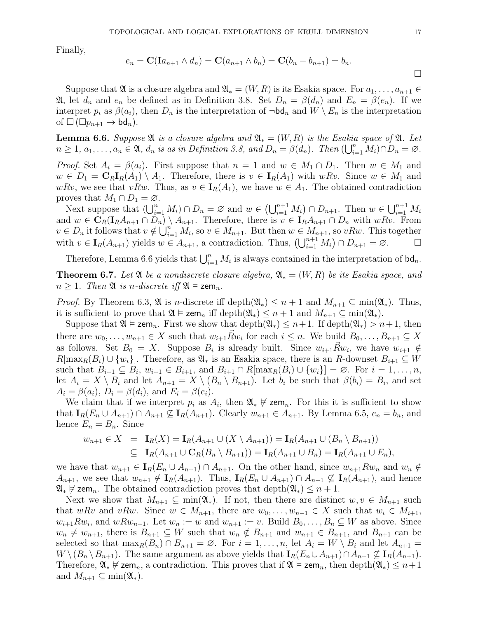Finally,

$$
e_n = \mathbf{C}(\mathbf{I}a_{n+1} \wedge d_n) = \mathbf{C}(a_{n+1} \wedge b_n) = \mathbf{C}(b_n - b_{n+1}) = b_n.
$$

Suppose that  $\mathfrak A$  is a closure algebra and  $\mathfrak A_*(W,R)$  is its Esakia space. For  $a_1,\ldots,a_{n+1}\in$ **2**, let  $d_n$  and  $e_n$  be defined as in Definition 3.8. Set  $D_n = \beta(d_n)$  and  $E_n = \beta(e_n)$ . If we interpret  $p_i$  as  $\beta(a_i)$ , then  $D_n$  is the interpretation of  $\neg bd_n$  and  $W \setminus E_n$  is the interpretation of  $\square$  ( $\square p_{n+1} \rightarrow \mathsf{bd}_n$ ).

**Lemma 6.6.** Suppose  $\mathfrak{A}$  is a closure algebra and  $\mathfrak{A}_* = (W, R)$  is the Esakia space of  $\mathfrak{A}$ . Let  $n \geq 1, a_1, \ldots, a_n \in \mathfrak{A}, d_n$  is as in Definition 3.8, and  $D_n = \beta(d_n)$ . Then  $(\bigcup_{i=1}^n M_i) \cap D_n = \varnothing$ .

*Proof.* Set  $A_i = \beta(a_i)$ . First suppose that  $n = 1$  and  $w \in M_1 \cap D_1$ . Then  $w \in M_1$  and  $w \in D_1 = \mathbf{C}_R \mathbf{I}_R(A_1) \setminus A_1$ . Therefore, there is  $v \in \mathbf{I}_R(A_1)$  with  $wRv$ . Since  $w \in M_1$  and wRv, we see that vRw. Thus, as  $v \in I_R(A_1)$ , we have  $w \in A_1$ . The obtained contradiction proves that  $M_1 \cap D_1 = \emptyset$ .

Next suppose that  $(\bigcup_{i=1}^n M_i) \cap D_n = \emptyset$  and  $w \in (\bigcup_{i=1}^{n+1} M_i) \cap D_{n+1}$ . Then  $w \in \bigcup_{i=1}^{n+1} M_i$ and  $w \in \mathbf{C}_R(\mathbf{I}_R A_{n+1} \cap D_n) \setminus A_{n+1}$ . Therefore, there is  $v \in \mathbf{I}_R A_{n+1} \cap D_n$  with  $wRv$ . From  $v \in D_n$  it follows that  $v \notin \bigcup_{i=1}^n M_i$ , so  $v \in M_{n+1}$ . But then  $w \in M_{n+1}$ , so  $vRw$ . This together with  $v \in I_R(A_{n+1})$  yields  $w \in A_{n+1}$ , a contradiction. Thus,  $\left(\bigcup_{i=1}^{n+1} M_i\right) \cap D_{n+1} = \emptyset$ .

Therefore, Lemma 6.6 yields that  $\bigcup_{i=1}^n M_i$  is always contained in the interpretation of  $\mathsf{bd}_n$ .

**Theorem 6.7.** Let  $\mathfrak{A}$  be a nondiscrete closure algebra,  $\mathfrak{A}_* = (W, R)$  be its Esakia space, and  $n \geq 1$ . Then  $\mathfrak{A}$  is n-discrete iff  $\mathfrak{A} \models$  zem<sub>n</sub>.

*Proof.* By Theorem 6.3,  $\mathfrak A$  is *n*-discrete iff depth $(\mathfrak A_*) \leq n+1$  and  $M_{n+1} \subseteq \min(\mathfrak A_*)$ . Thus, it is sufficient to prove that  $\mathfrak{A} \models \mathsf{zem}_n$  iff  $\mathrm{depth}(\mathfrak{A}_*) \leq n+1$  and  $M_{n+1} \subseteq \min(\mathfrak{A}_*)$ .

Suppose that  $\mathfrak{A} \models \mathsf{zem}_n$ . First we show that  $\operatorname{depth}(\mathfrak{A}_*) \leq n+1$ . If  $\operatorname{depth}(\mathfrak{A}_*) > n+1$ , then there are  $w_0, \ldots, w_{n+1} \in X$  such that  $w_{i+1} \overrightarrow{R} w_i$  for each  $i \leq n$ . We build  $B_0, \ldots, B_{n+1} \subseteq X$ as follows. Set  $B_0 = X$ . Suppose  $B_i$  is already built. Since  $w_{i+1}R w_i$ , we have  $w_{i+1} \notin$  $R[\max_R(B_i) \cup \{w_i\}]$ . Therefore, as  $\mathfrak{A}_*$  is an Esakia space, there is an R-downset  $B_{i+1} \subseteq W$ such that  $B_{i+1} \subseteq B_i$ ,  $w_{i+1} \in B_{i+1}$ , and  $B_{i+1} \cap R[\max_R(B_i) \cup \{w_i\}] = \emptyset$ . For  $i = 1, \ldots, n$ , let  $A_i = X \setminus B_i$  and let  $A_{n+1} = X \setminus (B_n \setminus B_{n+1})$ . Let  $b_i$  be such that  $\beta(b_i) = B_i$ , and set  $A_i = \beta(a_i)$ ,  $D_i = \beta(d_i)$ , and  $E_i = \beta(e_i)$ .

We claim that if we interpret  $p_i$  as  $A_i$ , then  $\mathfrak{A}_* \not\vDash \mathsf{zem}_n$ . For this it is sufficient to show that  $I_R(E_n \cup A_{n+1}) \cap A_{n+1} \nsubseteq I_R(A_{n+1})$ . Clearly  $w_{n+1} \in A_{n+1}$ . By Lemma 6.5,  $e_n = b_n$ , and hence  $E_n = B_n$ . Since

$$
w_{n+1} \in X = \mathbf{I}_R(X) = \mathbf{I}_R(A_{n+1} \cup (X \setminus A_{n+1})) = \mathbf{I}_R(A_{n+1} \cup (B_n \setminus B_{n+1}))
$$
  
\n
$$
\subseteq \mathbf{I}_R(A_{n+1} \cup \mathbf{C}_R(B_n \setminus B_{n+1})) = \mathbf{I}_R(A_{n+1} \cup B_n) = \mathbf{I}_R(A_{n+1} \cup E_n),
$$

we have that  $w_{n+1} \in I_R(E_n \cup A_{n+1}) \cap A_{n+1}$ . On the other hand, since  $w_{n+1}Rw_n$  and  $w_n \notin I_R(E_n \cup A_{n+1})$  $A_{n+1}$ , we see that  $w_{n+1} \notin I_R(A_{n+1})$ . Thus,  $I_R(E_n \cup A_{n+1}) \cap A_{n+1} \nsubseteq I_R(A_{n+1})$ , and hence  $\mathfrak{A}_*$   $\nvdash$  zem<sub>n</sub>. The obtained contradiction proves that depth $(\mathfrak{A}_*) \leq n+1$ .

Next we show that  $M_{n+1} \subseteq \min(\mathfrak{A}_*)$ . If not, then there are distinct  $w, v \in M_{n+1}$  such that wRv and vRw. Since  $w \in M_{n+1}$ , there are  $w_0, \ldots, w_{n-1} \in X$  such that  $w_i \in M_{i+1}$ ,  $w_{i+1}Rw_i$ , and  $wRw_{n-1}$ . Let  $w_n := w$  and  $w_{n+1} := v$ . Build  $B_0, \ldots, B_n \subseteq W$  as above. Since  $w_n \neq w_{n+1}$ , there is  $B_{n+1} \subseteq W$  such that  $w_n \notin B_{n+1}$  and  $w_{n+1} \in B_{n+1}$ , and  $B_{n+1}$  can be selected so that  $\max_R(B_n) \cap B_{n+1} = \emptyset$ . For  $i = 1, \ldots, n$ , let  $A_i = W \setminus B_i$  and let  $A_{n+1} =$  $W \setminus (B_n \setminus B_{n+1}).$  The same argument as above yields that  $\mathbf{I}_R(E_n \cup A_{n+1}) \cap A_{n+1} \nsubseteq \mathbf{I}_R(A_{n+1}).$ Therefore,  $\mathfrak{A}_* \not\models \mathsf{zem}_n$ , a contradiction. This proves that if  $\mathfrak{A} \vDash \mathsf{zem}_n$ , then depth $(\mathfrak{A}_*) \leq n+1$ and  $M_{n+1} \subseteq \min(\mathfrak{A}_*)$ .

 $\Box$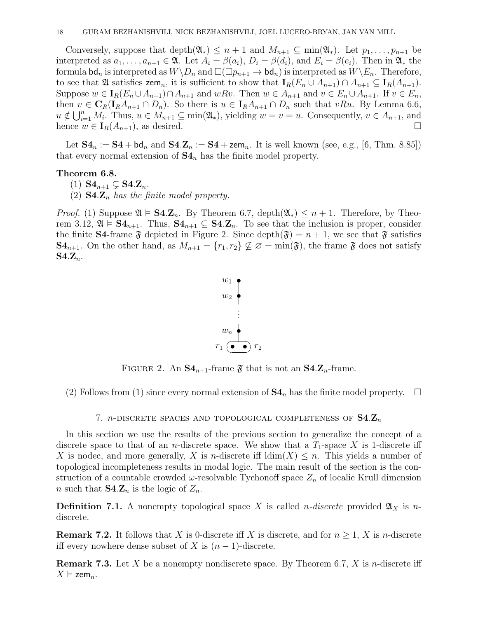Conversely, suppose that depth $(\mathfrak{A}_*) \leq n+1$  and  $M_{n+1} \subseteq \min(\mathfrak{A}_*)$ . Let  $p_1, \ldots, p_{n+1}$  be interpreted as  $a_1, \ldots, a_{n+1} \in \mathfrak{A}$ . Let  $A_i = \beta(a_i), D_i = \beta(d_i)$ , and  $E_i = \beta(e_i)$ . Then in  $\mathfrak{A}_*$  the formula  $\mathsf{bd}_n$  is interpreted as  $W \backslash D_n$  and  $\square(\square p_{n+1} \to \mathsf{bd}_n)$  is interpreted as  $W \backslash E_n$ . Therefore, to see that  $\mathfrak A$  satisfies zem<sub>n</sub>, it is sufficient to show that  $I_R(E_n \cup A_{n+1}) \cap A_{n+1} \subseteq I_R(A_{n+1}).$ Suppose  $w \in I_R(E_n \cup A_{n+1}) \cap A_{n+1}$  and  $wRv$ . Then  $w \in A_{n+1}$  and  $v \in E_n \cup A_{n+1}$ . If  $v \in E_n$ , then  $v \in \mathbf{C}_R(\mathbf{I}_R A_{n+1} \cap D_n)$ . So there is  $u \in \mathbf{I}_R A_{n+1} \cap D_n$  such that vRu. By Lemma 6.6,  $u \notin \bigcup_{i=1}^n M_i$ . Thus,  $u \in M_{n+1} \subseteq \min(\mathfrak{A}_*)$ , yielding  $w = v = u$ . Consequently,  $v \in A_{n+1}$ , and hence  $w \in I_R(A_{n+1}),$  as desired.

Let  $S4_n := S4 + bd_n$  and  $S4.Z_n := S4 + zem_n$ . It is well known (see, e.g., [6, Thm. 8.85]) that every normal extension of  $S4_n$  has the finite model property.

## Theorem 6.8.

(1)  $\mathbf{S4}_{n+1} \subseteq \mathbf{S4} \mathbf{Z}_n$ .

(2)  $\mathbf{S4} \mathbf{Z}_n$  has the finite model property.

*Proof.* (1) Suppose  $\mathfrak{A} \models \mathbf{S4} \mathbf{Z}_n$ . By Theorem 6.7, depth $(\mathfrak{A}_*) \leq n+1$ . Therefore, by Theorem 3.12,  $\mathfrak{A} \models \mathbf{S4}_{n+1}$ . Thus,  $\mathbf{S4}_{n+1} \subseteq \mathbf{S4} \mathbf{Z}_n$ . To see that the inclusion is proper, consider the finite **S4**-frame  $\mathfrak{F}$  depicted in Figure 2. Since depth $(\mathfrak{F}) = n + 1$ , we see that  $\mathfrak{F}$  satisfies  $\mathbf{S4}_{n+1}$ . On the other hand, as  $M_{n+1} = \{r_1, r_2\} \not\subseteq \varnothing = \min(\mathfrak{F})$ , the frame  $\mathfrak{F}$  does not satisfy  $S4.Z_n$ .



FIGURE 2. An  $S4_{n+1}$ -frame  $\mathfrak F$  that is not an  $S4.Z_n$ -frame.

(2) Follows from (1) since every normal extension of  $S4_n$  has the finite model property.  $\Box$ 

7. *n*-DISCRETE SPACES AND TOPOLOGICAL COMPLETENESS OF  $S4.Z_n$ 

In this section we use the results of the previous section to generalize the concept of a discrete space to that of an *n*-discrete space. We show that a  $T_1$ -space X is 1-discrete iff X is nodec, and more generally, X is n-discrete iff  $\dim(X) \leq n$ . This yields a number of topological incompleteness results in modal logic. The main result of the section is the construction of a countable crowded  $\omega$ -resolvable Tychonoff space  $Z_n$  of localic Krull dimension *n* such that  $S4.Z_n$  is the logic of  $Z_n$ .

**Definition 7.1.** A nonempty topological space X is called *n*-discrete provided  $\mathfrak{A}_X$  is *n*discrete.

**Remark 7.2.** It follows that X is 0-discrete iff X is discrete, and for  $n \geq 1$ , X is n-discrete iff every nowhere dense subset of X is  $(n-1)$ -discrete.

**Remark 7.3.** Let X be a nonempty nondiscrete space. By Theorem 6.7, X is *n*-discrete iff  $X \vDash$  zem<sub>n</sub>.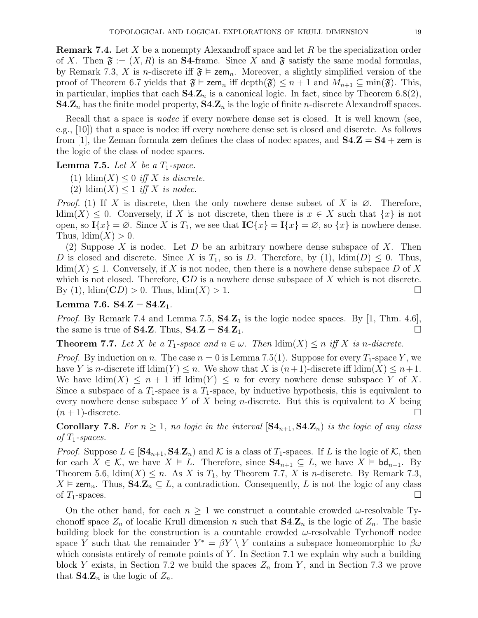**Remark 7.4.** Let X be a nonempty Alexandroff space and let R be the specialization order of X. Then  $\mathfrak{F} := (X, R)$  is an **S4**-frame. Since X and  $\mathfrak{F}$  satisfy the same modal formulas, by Remark 7.3, X is *n*-discrete iff  $\mathfrak{F} \models \mathsf{zem}_n$ . Moreover, a slightly simplified version of the proof of Theorem 6.7 yields that  $\mathfrak{F} \models \mathsf{zem}_n$  iff  $\mathrm{depth}(\mathfrak{F}) \leq n+1$  and  $M_{n+1} \subseteq \min(\mathfrak{F})$ . This, in particular, implies that each  $S4.Z_n$  is a canonical logic. In fact, since by Theorem 6.8(2),  $S4.Z_n$  has the finite model property,  $S4.Z_n$  is the logic of finite *n*-discrete Alexandroff spaces.

Recall that a space is *nodec* if every nowhere dense set is closed. It is well known (see, e.g., [10]) that a space is nodec iff every nowhere dense set is closed and discrete. As follows from [1], the Zeman formula zem defines the class of nodec spaces, and  $S4.Z = S4 + z$ em is the logic of the class of nodec spaces.

## **Lemma 7.5.** Let X be a  $T_1$ -space.

- (1)  $\dim(X) \leq 0$  iff X is discrete.
- (2)  $\dim(X) \leq 1$  iff X is nodec.

*Proof.* (1) If X is discrete, then the only nowhere dense subset of X is  $\emptyset$ . Therefore,  $\dim(X) \leq 0$ . Conversely, if X is not discrete, then there is  $x \in X$  such that  $\{x\}$  is not open, so  $I\{x\} = \emptyset$ . Since X is  $T_1$ , we see that  $IC\{x\} = I\{x\} = \emptyset$ , so  $\{x\}$  is nowhere dense. Thus,  $ldim(X) > 0$ .

(2) Suppose X is nodec. Let D be an arbitrary nowhere dense subspace of X. Then D is closed and discrete. Since X is  $T_1$ , so is D. Therefore, by (1),  $\dim(D) \leq 0$ . Thus,  $\dim(X) \leq 1$ . Conversely, if X is not nodec, then there is a nowhere dense subspace D of X which is not closed. Therefore,  $CD$  is a nowhere dense subspace of X which is not discrete. By (1),  $\text{ldim}(\mathbf{CD}) > 0$ . Thus,  $\text{ldim}(X) > 1$ .

## Lemma 7.6.  $S4.Z = S4.Z_1$ .

*Proof.* By Remark 7.4 and Lemma 7.5,  $S4.Z_1$  is the logic nodec spaces. By [1, Thm. 4.6], the same is true of **S4.Z**. Thus,  $S4.Z = S4.Z_1$ .

**Theorem 7.7.** Let X be a  $T_1$ -space and  $n \in \omega$ . Then  $\dim(X) \leq n$  iff X is n-discrete.

*Proof.* By induction on n. The case  $n = 0$  is Lemma 7.5(1). Suppose for every  $T_1$ -space Y, we have Y is n-discrete iff  $\dim(Y) \leq n$ . We show that X is  $(n+1)$ -discrete iff  $\dim(X) \leq n+1$ . We have  $\dim(X) \leq n+1$  iff  $\dim(Y) \leq n$  for every nowhere dense subspace Y of X. Since a subspace of a  $T_1$ -space is a  $T_1$ -space, by inductive hypothesis, this is equivalent to every nowhere dense subspace Y of X being n-discrete. But this is equivalent to X being  $(n+1)$ -discrete.

**Corollary 7.8.** For  $n \geq 1$ , no logic in the interval  $[\mathbf{S4}_{n+1}, \mathbf{S4} \mathbf{Z}_n]$  is the logic of any class of  $T_1$ -spaces.

*Proof.* Suppose  $L \in [S4_{n+1}, S4 \cdot \mathbb{Z}_n)$  and K is a class of  $T_1$ -spaces. If L is the logic of K, then for each  $X \in \mathcal{K}$ , we have  $X \models L$ . Therefore, since  $S4_{n+1} \subseteq L$ , we have  $X \models bd_{n+1}$ . By Theorem 5.6,  $\dim(X) \leq n$ . As X is  $T_1$ , by Theorem 7.7, X is *n*-discrete. By Remark 7.3,  $X \models \textsf{zem}_n$ . Thus,  $\textsf{S4.Z}_n \subseteq L$ , a contradiction. Consequently, L is not the logic of any class of  $T_1$ -spaces.

On the other hand, for each  $n \geq 1$  we construct a countable crowded  $\omega$ -resolvable Tychonoff space  $Z_n$  of localic Krull dimension n such that  $S4.Z_n$  is the logic of  $Z_n$ . The basic building block for the construction is a countable crowded  $\omega$ -resolvable Tychonoff nodec space Y such that the remainder  $Y^* = \beta Y \setminus Y$  contains a subspace homeomorphic to  $\beta\omega$ which consists entirely of remote points of Y. In Section 7.1 we explain why such a building block Y exists, in Section 7.2 we build the spaces  $Z_n$  from Y, and in Section 7.3 we prove that  $S4.Z_n$  is the logic of  $Z_n$ .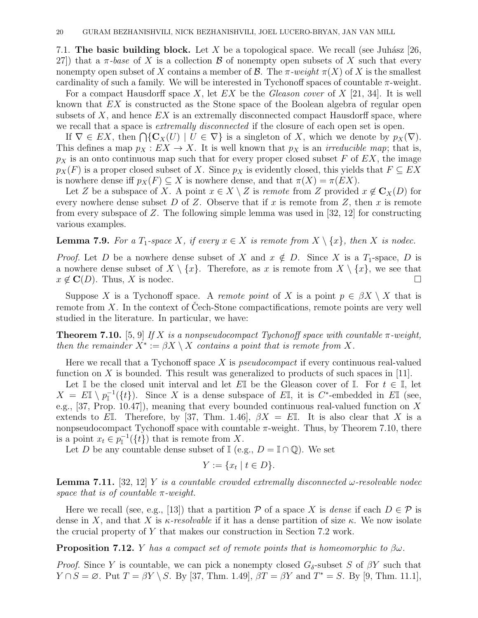7.1. The basic building block. Let X be a topological space. We recall (see Juhász [26, 27) that a  $\pi$ -base of X is a collection B of nonempty open subsets of X such that every nonempty open subset of X contains a member of B. The  $\pi$ -weight  $\pi(X)$  of X is the smallest cardinality of such a family. We will be interested in Tychonoff spaces of countable  $\pi$ -weight.

For a compact Hausdorff space X, let  $EX$  be the Gleason cover of  $X$  [21, 34]. It is well known that EX is constructed as the Stone space of the Boolean algebra of regular open subsets of  $X$ , and hence  $EX$  is an extremally disconnected compact Hausdorff space, where we recall that a space is *extremally disconnected* if the closure of each open set is open.

If  $\nabla \in EX$ , then  $\bigcap \{ \mathbf{C}_X(U) \mid U \in \nabla \}$  is a singleton of X, which we denote by  $p_X(\nabla)$ . This defines a map  $p_X : EX \to X$ . It is well known that  $p_X$  is an *irreducible map*; that is,  $p<sub>X</sub>$  is an onto continuous map such that for every proper closed subset F of EX, the image  $p_X(F)$  is a proper closed subset of X. Since  $p_X$  is evidently closed, this yields that  $F \subseteq EX$ is nowhere dense iff  $p_X(F) \subseteq X$  is nowhere dense, and that  $\pi(X) = \pi(EX)$ .

Let Z be a subspace of X. A point  $x \in X \setminus Z$  is remote from Z provided  $x \notin C_X(D)$  for every nowhere dense subset D of Z. Observe that if x is remote from Z, then x is remote from every subspace of Z. The following simple lemma was used in [32, 12] for constructing various examples.

**Lemma 7.9.** For a  $T_1$ -space X, if every  $x \in X$  is remote from  $X \setminus \{x\}$ , then X is nodec.

*Proof.* Let D be a nowhere dense subset of X and  $x \notin D$ . Since X is a  $T_1$ -space, D is a nowhere dense subset of  $X \setminus \{x\}$ . Therefore, as x is remote from  $X \setminus \{x\}$ , we see that  $x \notin \mathbf{C}(D)$ . Thus, X is nodec.

Suppose X is a Tychonoff space. A remote point of X is a point  $p \in \beta X \setminus X$  that is remote from  $X$ . In the context of Cech-Stone compactifications, remote points are very well studied in the literature. In particular, we have:

**Theorem 7.10.** [5, 9] If X is a nonpseudocompact Tychonoff space with countable  $\pi$ -weight, then the remainder  $X^* := \beta X \setminus X$  contains a point that is remote from X.

Here we recall that a Tychonoff space  $X$  is *pseudocompact* if every continuous real-valued function on X is bounded. This result was generalized to products of such spaces in  $[11]$ .

Let I be the closed unit interval and let EI be the Gleason cover of I. For  $t \in I$ , let  $X = E\mathbb{I} \setminus p_{\mathbb{I}}^{-1}(\{t\}).$  Since X is a dense subspace of EI, it is C<sup>\*</sup>-embedded in EI (see, e.g., [37, Prop. 10.47]), meaning that every bounded continuous real-valued function on X extends to EI. Therefore, by [37, Thm. 1.46],  $\beta X = E$ I. It is also clear that X is a nonpseudocompact Tychonoff space with countable  $\pi$ -weight. Thus, by Theorem 7.10, there is a point  $x_t \in p_{\mathbb{I}}^{-1}(\{t\})$  that is remote from X.

Let D be any countable dense subset of  $\mathbb{I}$  (e.g.,  $D = \mathbb{I} \cap \mathbb{Q}$ ). We set

$$
Y := \{x_t \mid t \in D\}.
$$

**Lemma 7.11.** [32, 12] Y is a countable crowded extremally disconnected  $\omega$ -resolvable nodec space that is of countable  $\pi$ -weight.

Here we recall (see, e.g., [13]) that a partition P of a space X is dense if each  $D \in \mathcal{P}$  is dense in X, and that X is  $\kappa$ -resolvable if it has a dense partition of size  $\kappa$ . We now isolate the crucial property of Y that makes our construction in Section 7.2 work.

**Proposition 7.12.** *Y* has a compact set of remote points that is homeomorphic to  $\beta\omega$ .

*Proof.* Since Y is countable, we can pick a nonempty closed  $G_{\delta}$ -subset S of  $\beta Y$  such that  $Y \cap S = \emptyset$ . Put  $T = \beta Y \setminus S$ . By [37, Thm. 1.49],  $\beta T = \beta Y$  and  $T^* = S$ . By [9, Thm. 11.1],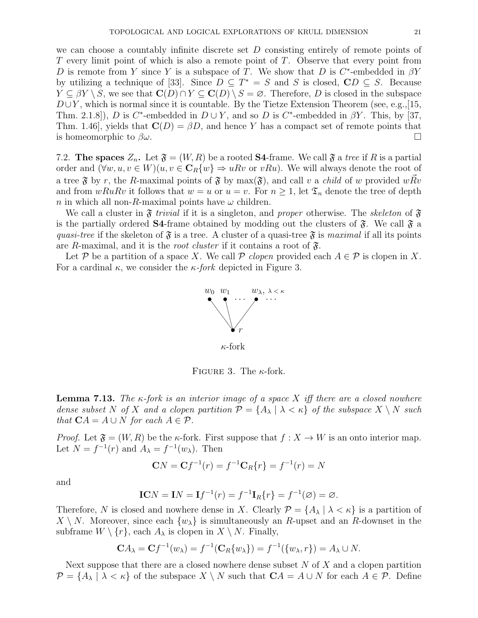we can choose a countably infinite discrete set D consisting entirely of remote points of  $T$  every limit point of which is also a remote point of  $T$ . Observe that every point from D is remote from Y since Y is a subspace of T. We show that D is  $C^*$ -embedded in  $\beta Y$ by utilizing a technique of [33]. Since  $D \subseteq T^* = S$  and S is closed,  $\mathbb{C}D \subseteq S$ . Because  $Y \subseteq \beta Y \setminus S$ , we see that  $\mathbf{C}(D) \cap Y \subseteq \mathbf{C}(D) \setminus S = \varnothing$ . Therefore, D is closed in the subspace  $D\cup Y$ , which is normal since it is countable. By the Tietze Extension Theorem (see, e.g.,[15, Thm. 2.1.8]), D is C<sup>\*</sup>-embedded in  $D \cup Y$ , and so D is C<sup>\*</sup>-embedded in  $\beta Y$ . This, by [37, Thm. 1.46], yields that  $\mathbf{C}(D) = \beta D$ , and hence Y has a compact set of remote points that is homeomorphic to  $\beta\omega$ .

7.2. The spaces  $Z_n$ . Let  $\mathfrak{F} = (W, R)$  be a rooted S4-frame. We call  $\mathfrak{F}$  a tree if R is a partial order and  $(\forall w, u, v \in W)(u, v \in \mathbb{C}_R\{w\} \Rightarrow uRv$  or  $vRu)$ . We will always denote the root of a tree  $\mathfrak F$  by r, the R-maximal points of  $\mathfrak F$  by max $(\mathfrak F)$ , and call v a *child* of w provided  $wRv$ and from  $wRuRv$  it follows that  $w = u$  or  $u = v$ . For  $n \geq 1$ , let  $\mathfrak{T}_n$  denote the tree of depth n in which all non-R-maximal points have  $\omega$  children.

We call a cluster in  $\mathfrak F$  trivial if it is a singleton, and proper otherwise. The skeleton of  $\mathfrak F$ is the partially ordered **S4**-frame obtained by modding out the clusters of  $\mathfrak{F}$ . We call  $\mathfrak{F}$  a quasi-tree if the skeleton of  $\mathfrak{F}$  is a tree. A cluster of a quasi-tree  $\mathfrak{F}$  is maximal if all its points are R-maximal, and it is the *root cluster* if it contains a root of  $\mathfrak{F}$ .

Let P be a partition of a space X. We call P clopen provided each  $A \in \mathcal{P}$  is clopen in X. For a cardinal  $\kappa$ , we consider the  $\kappa$ -fork depicted in Figure 3.



FIGURE 3. The  $\kappa$ -fork.

**Lemma 7.13.** The  $\kappa$ -fork is an interior image of a space X iff there are a closed nowhere dense subset N of X and a clopen partition  $\mathcal{P} = \{A_\lambda \mid \lambda < \kappa\}$  of the subspace  $X \setminus N$  such that  $CA = A \cup N$  for each  $A \in \mathcal{P}$ .

*Proof.* Let  $\mathfrak{F} = (W, R)$  be the  $\kappa$ -fork. First suppose that  $f : X \to W$  is an onto interior map. Let  $N = f^{-1}(r)$  and  $A_{\lambda} = f^{-1}(w_{\lambda})$ . Then

$$
CN = Cf^{-1}(r) = f^{-1}C_R\{r\} = f^{-1}(r) = N
$$

and

$$
ICN = IN = If^{-1}(r) = f^{-1}I_R\{r\} = f^{-1}(\emptyset) = \emptyset.
$$

Therefore, N is closed and nowhere dense in X. Clearly  $\mathcal{P} = \{A_\lambda \mid \lambda < \kappa\}$  is a partition of  $X \setminus N$ . Moreover, since each  $\{w_{\lambda}\}\$ is simultaneously an R-upset and an R-downset in the subframe  $W \setminus \{r\}$ , each  $A_{\lambda}$  is clopen in  $X \setminus N$ . Finally,

$$
CA_{\lambda} = Cf^{-1}(w_{\lambda}) = f^{-1}(C_R\{w_{\lambda}\}) = f^{-1}(\{w_{\lambda}, r\}) = A_{\lambda} \cup N.
$$

Next suppose that there are a closed nowhere dense subset  $N$  of  $X$  and a clopen partition  $\mathcal{P} = \{A_{\lambda} \mid \lambda < \kappa\}$  of the subspace  $X \setminus N$  such that  $\mathbf{C}A = A \cup N$  for each  $A \in \mathcal{P}$ . Define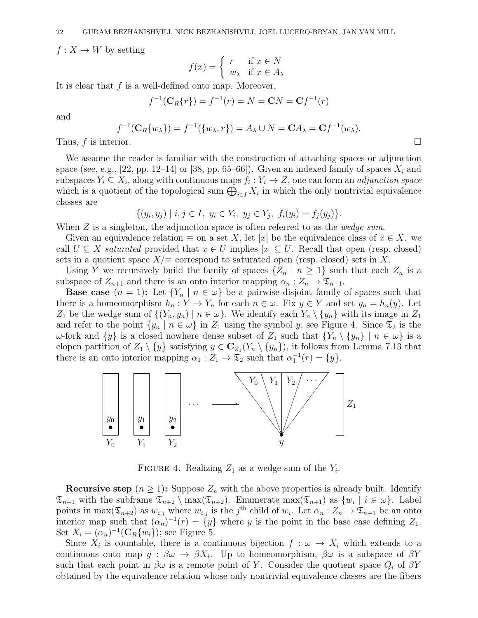$f: X \to W$  by setting

$$
f(x) = \begin{cases} r & \text{if } x \in N \\ w_{\lambda} & \text{if } x \in A_{\lambda} \end{cases}
$$

It is clear that  $f$  is a well-defined onto map. Moreover,

$$
f^{-1}(\mathbf{C}_R\{r\}) = f^{-1}(r) = N = \mathbf{C}N = \mathbf{C}f^{-1}(r)
$$

and

$$
f^{-1}(\mathbf{C}_R\{w_\lambda\}) = f^{-1}(\{w_\lambda, r\}) = A_\lambda \cup N = \mathbf{C}A_\lambda = \mathbf{C}f^{-1}(w_\lambda).
$$
  
Thus, *f* is interior.

We assume the reader is familiar with the construction of attaching spaces or adjunction space (see, e.g., [22, pp. 12–14] or [38, pp. 65–66]). Given an indexed family of spaces  $X_i$  and subspaces  $Y_i \subseteq X_i$ , along with continuous maps  $f_i: Y_i \to Z$ , one can form an *adjunction space* which is a quotient of the topological sum  $\bigoplus_{i\in I} X_i$  in which the only nontrivial equivalence classes are

$$
\{(y_i, y_j) \mid i, j \in I, y_i \in Y_i, y_j \in Y_j, f_i(y_i) = f_j(y_j)\}.
$$

When  $Z$  is a singleton, the adjunction space is often referred to as the *wedge sum*.

Given an equivalence relation  $\equiv$  on a set X, let  $[x]$  be the equivalence class of  $x \in X$ . call  $U \subseteq X$  saturated provided that  $x \in U$  implies  $[x] \subseteq U$ . Recall that open (resp. closed) sets in a quotient space  $X/\equiv$  correspond to saturated open (resp. closed) sets in X.

Using Y we recursively build the family of spaces  $\{Z_n \mid n \geq 1\}$  such that each  $Z_n$  is a subspace of  $Z_{n+1}$  and there is an onto interior mapping  $\alpha_n : Z_n \to \mathfrak{T}_{n+1}$ .

**Base case**  $(n = 1)$ : Let  $\{Y_n \mid n \in \omega\}$  be a pairwise disjoint family of spaces such that there is a homeomorphism  $h_n: Y \to Y_n$  for each  $n \in \omega$ . Fix  $y \in Y$  and set  $y_n = h_n(y)$ . Let  $Z_1$  be the wedge sum of  $\{(Y_n, y_n) \mid n \in \omega\}$ . We identify each  $Y_n \setminus \{y_n\}$  with its image in  $Z_1$ and refer to the point  $\{y_n \mid n \in \omega\}$  in  $Z_1$  using the symbol y; see Figure 4. Since  $\mathfrak{T}_2$  is the ω-fork and {y} is a closed nowhere dense subset of  $Z_1$  such that  $\{Y_n \setminus \{y_n\} \mid n \in ω\}$  is a clopen partition of  $Z_1 \setminus \{y\}$  satisfying  $y \in \mathbb{C}_{Z_1}(Y_n \setminus \{y_n\})$ , it follows from Lemma 7.13 that there is an onto interior mapping  $\alpha_1 : Z_1 \to \mathfrak{T}_2$  such that  $\alpha_1^{-1}(r) = \{y\}.$ 



FIGURE 4. Realizing  $Z_1$  as a wedge sum of the  $Y_i$ .

**Recursive step**  $(n \geq 1)$ : Suppose  $Z_n$  with the above properties is already built. Identify  $\mathfrak{T}_{n+1}$  with the subframe  $\mathfrak{T}_{n+2} \setminus \max(\mathfrak{T}_{n+2})$ . Enumerate  $\max(\mathfrak{T}_{n+1})$  as  $\{w_i \mid i \in \omega\}$ . Label points in max $(\mathfrak{T}_{n+2})$  as  $w_{i,j}$  where  $w_{i,j}$  is the j<sup>th</sup> child of  $w_i$ . Let  $\alpha_n: Z_n \to \mathfrak{T}_{n+1}$  be an onto interior map such that  $(\alpha_n)^{-1}(r) = \{y\}$  where y is the point in the base case defining  $Z_1$ . Set  $X_i = (\alpha_n)^{-1}(\mathbf{C}_R\{w_i\})$ ; see Figure 5.

Since  $X_i$  is countable, there is a continuous bijection  $f: \omega \to X_i$  which extends to a continuous onto map  $g : \beta \omega \to \beta X_i$ . Up to homeomorphism,  $\beta \omega$  is a subspace of  $\beta Y$ such that each point in  $\beta\omega$  is a remote point of Y. Consider the quotient space  $Q_i$  of  $\beta Y$ obtained by the equivalence relation whose only nontrivial equivalence classes are the fibers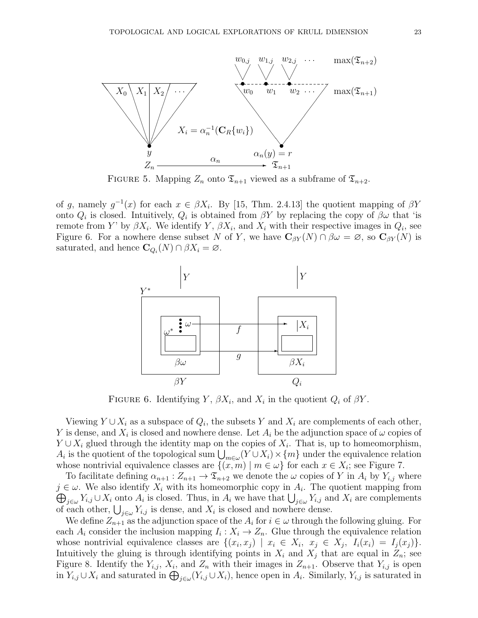

FIGURE 5. Mapping  $Z_n$  onto  $\mathfrak{T}_{n+1}$  viewed as a subframe of  $\mathfrak{T}_{n+2}$ .

of g, namely  $g^{-1}(x)$  for each  $x \in \beta X_i$ . By [15, Thm. 2.4.13] the quotient mapping of  $\beta Y$ onto  $Q_i$  is closed. Intuitively,  $Q_i$  is obtained from  $\beta Y$  by replacing the copy of  $\beta\omega$  that 'is remote from Y' by  $\beta X_i$ . We identify Y,  $\beta X_i$ , and  $X_i$  with their respective images in  $Q_i$ , see Figure 6. For a nowhere dense subset N of Y, we have  $C_{\beta Y}(N) \cap \beta \omega = \varnothing$ , so  $C_{\beta Y}(N)$  is saturated, and hence  $\mathbf{C}_{Q_i}(N) \cap \beta X_i = \varnothing$ .



FIGURE 6. Identifying Y,  $\beta X_i$ , and  $X_i$  in the quotient  $Q_i$  of  $\beta Y$ .

Viewing  $Y \cup X_i$  as a subspace of  $Q_i$ , the subsets Y and  $X_i$  are complements of each other, Y is dense, and  $X_i$  is closed and nowhere dense. Let  $A_i$  be the adjunction space of  $\omega$  copies of  $Y \cup X_i$  glued through the identity map on the copies of  $X_i$ . That is, up to homeomorphism, A<sub>i</sub> is the quotient of the topological sum  $\bigcup_{m\in\omega}(Y\cup X_i)\times\{m\}$  under the equivalence relation whose nontrivial equivalence classes are  $\{(x,m) | m \in \omega\}$  for each  $x \in X_i$ ; see Figure 7.

To facilitate defining  $\alpha_{n+1}: Z_{n+1} \to \mathfrak{T}_{n+2}$  we denote the  $\omega$  copies of Y in  $A_i$  by  $Y_{i,j}$  where  $j \in \omega$ . We also identify  $X_i$  with its homeomorphic copy in  $A_i$ . The quotient mapping from  $\bigoplus_{j\in\omega}Y_{i,j}\cup X_i$  onto  $A_i$  is closed. Thus, in  $A_i$  we have that  $\bigcup_{j\in\omega}Y_{i,j}$  and  $X_i$  are complements of each other,  $\bigcup_{j\in\omega} Y_{i,j}$  is dense, and  $X_i$  is closed and nowhere dense.

We define  $Z_{n+1}$  as the adjunction space of the  $A_i$  for  $i \in \omega$  through the following gluing. For each  $A_i$  consider the inclusion mapping  $I_i: X_i \to Z_n$ . Glue through the equivalence relation whose nontrivial equivalence classes are  $\{(x_i, x_j) | x_i \in X_i, x_j \in X_j, I_i(x_i) = I_j(x_j)\}.$ Intuitively the gluing is through identifying points in  $X_i$  and  $X_j$  that are equal in  $Z_n$ ; see Figure 8. Identify the  $Y_{i,j}$ ,  $X_i$ , and  $Z_n$  with their images in  $Z_{n+1}$ . Observe that  $Y_{i,j}$  is open in  $Y_{i,j} \cup X_i$  and saturated in  $\bigoplus_{j \in \omega} (Y_{i,j} \cup X_i)$ , hence open in  $A_i$ . Similarly,  $Y_{i,j}$  is saturated in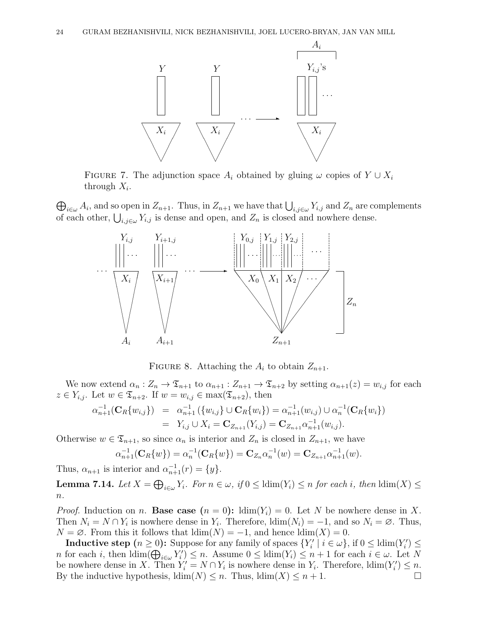

FIGURE 7. The adjunction space  $A_i$  obtained by gluing  $\omega$  copies of  $Y \cup X_i$ through  $X_i$ .

 $\bigoplus_{i\in\omega}A_i$ , and so open in  $Z_{n+1}$ . Thus, in  $Z_{n+1}$  we have that  $\bigcup_{i,j\in\omega}Y_{i,j}$  and  $Z_n$  are complements of each other,  $\bigcup_{i,j\in\omega} Y_{i,j}$  is dense and open, and  $Z_n$  is closed and nowhere dense.



FIGURE 8. Attaching the  $A_i$  to obtain  $Z_{n+1}$ .

We now extend  $\alpha_n : Z_n \to \mathfrak{T}_{n+1}$  to  $\alpha_{n+1} : Z_{n+1} \to \mathfrak{T}_{n+2}$  by setting  $\alpha_{n+1}(z) = w_{i,j}$  for each  $z \in Y_{i,j}$ . Let  $w \in \mathfrak{T}_{n+2}$ . If  $w = w_{i,j} \in \max(\mathfrak{T}_{n+2})$ , then

$$
\alpha_{n+1}^{-1}(\mathbf{C}_R\{w_{i,j}\}) = \alpha_{n+1}^{-1}(\{w_{i,j}\} \cup \mathbf{C}_R\{w_i\}) = \alpha_{n+1}^{-1}(w_{i,j}) \cup \alpha_n^{-1}(\mathbf{C}_R\{w_i\})
$$
  
=  $Y_{i,j} \cup X_i = \mathbf{C}_{Z_{n+1}}(Y_{i,j}) = \mathbf{C}_{Z_{n+1}}\alpha_{n+1}^{-1}(w_{i,j}).$ 

Otherwise  $w \in \mathfrak{T}_{n+1}$ , so since  $\alpha_n$  is interior and  $Z_n$  is closed in  $Z_{n+1}$ , we have

$$
\alpha_{n+1}^{-1}(\mathbf{C}_R\{w\}) = \alpha_n^{-1}(\mathbf{C}_R\{w\}) = \mathbf{C}_{Z_n}\alpha_n^{-1}(w) = \mathbf{C}_{Z_{n+1}}\alpha_{n+1}^{-1}(w).
$$

Thus,  $\alpha_{n+1}$  is interior and  $\alpha_{n+1}^{-1}(r) = \{y\}.$ 

**Lemma 7.14.** Let  $X = \bigoplus_{i \in \omega} Y_i$ . For  $n \in \omega$ , if  $0 \leq \text{ldim}(Y_i) \leq n$  for each i, then  $\text{ldim}(X) \leq$  $n$ .

*Proof.* Induction on n. Base case  $(n = 0)$ :  $\dim(Y_i) = 0$ . Let N be nowhere dense in X. Then  $N_i = N \cap Y_i$  is nowhere dense in  $Y_i$ . Therefore,  $\text{ldim}(N_i) = -1$ , and so  $N_i = \emptyset$ . Thus,  $N = \emptyset$ . From this it follows that  $\dim(N) = -1$ , and hence  $\dim(X) = 0$ .

**Inductive step**  $(n \geq 0)$ : Suppose for any family of spaces  $\{Y'_i \mid i \in \omega\}$ , if  $0 \leq \text{ldim}(Y'_i) \leq$ n for each i, then  $\dim(\bigoplus_{i\in\omega}Y_i')\leq n$ . Assume  $0\leq \dim(Y_i)\leq n+1$  for each  $i\in\omega$ . Let N be nowhere dense in X. Then  $Y_i' = N \cap Y_i$  is nowhere dense in  $Y_i$ . Therefore,  $\text{ldim}(Y_i') \leq n$ . By the inductive hypothesis,  $\text{ldim}(N) \leq n$ . Thus,  $\text{ldim}(X) \leq n+1$ .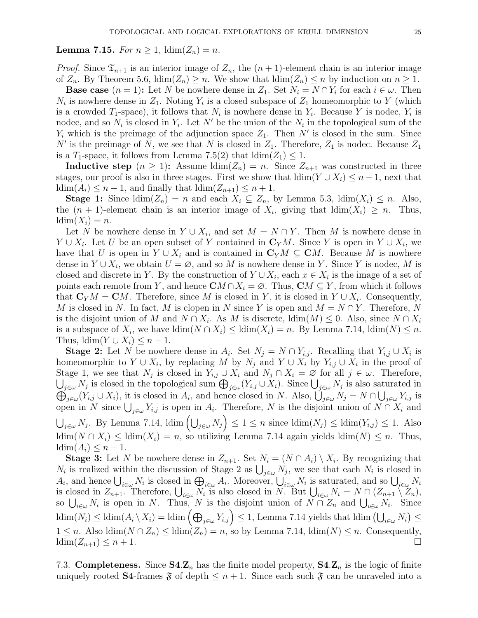## **Lemma 7.15.** For  $n \geq 1$ ,  $\dim(Z_n) = n$ .

*Proof.* Since  $\mathfrak{T}_{n+1}$  is an interior image of  $Z_n$ , the  $(n+1)$ -element chain is an interior image of  $Z_n$ . By Theorem 5.6,  $\dim(Z_n) \geq n$ . We show that  $\dim(Z_n) \leq n$  by induction on  $n \geq 1$ .

**Base case**  $(n = 1)$ : Let N be nowhere dense in  $Z_1$ . Set  $N_i = N \cap Y_i$  for each  $i \in \omega$ . Then  $N_i$  is nowhere dense in  $Z_1$ . Noting  $Y_i$  is a closed subspace of  $Z_1$  homeomorphic to Y (which is a crowded  $T_1$ -space), it follows that  $N_i$  is nowhere dense in  $Y_i$ . Because Y is nodec,  $Y_i$  is nodec, and so  $N_i$  is closed in  $Y_i$ . Let N' be the union of the  $N_i$  in the topological sum of the  $Y_i$  which is the preimage of the adjunction space  $Z_1$ . Then N' is closed in the sum. Since N' is the preimage of N, we see that N is closed in  $Z_1$ . Therefore,  $Z_1$  is nodec. Because  $Z_1$ is a T<sub>1</sub>-space, it follows from Lemma 7.5(2) that  $\dim(Z_1) \leq 1$ .

**Inductive step**  $(n \geq 1)$ : Assume  $\dim(Z_n) = n$ . Since  $Z_{n+1}$  was constructed in three stages, our proof is also in three stages. First we show that  $\dim(Y \cup X_i) \leq n+1$ , next that  $\dim(A_i) \leq n+1$ , and finally that  $\dim(Z_{n+1}) \leq n+1$ .

**Stage 1:** Since  $\text{ldim}(Z_n) = n$  and each  $X_i \subseteq Z_n$ , by Lemma 5.3,  $\text{ldim}(X_i) \leq n$ . Also, the  $(n + 1)$ -element chain is an interior image of  $X_i$ , giving that  $\dim(X_i) \geq n$ . Thus,  $ldim(X_i) = n$ .

Let N be nowhere dense in  $Y \cup X_i$ , and set  $M = N \cap Y$ . Then M is nowhere dense in  $Y \cup X_i$ . Let U be an open subset of Y contained in  $\mathbb{C}_Y M$ . Since Y is open in  $Y \cup X_i$ , we have that U is open in  $Y \cup X_i$  and is contained in  $\mathbb{C}_Y M \subseteq \mathbb{C}M$ . Because M is nowhere dense in  $Y \cup X_i$ , we obtain  $U = \emptyset$ , and so M is nowhere dense in Y. Since Y is nodec, M is closed and discrete in Y. By the construction of  $Y \cup X_i$ , each  $x \in X_i$  is the image of a set of points each remote from Y, and hence  $\mathbf{C}M \cap X_i = \emptyset$ . Thus,  $\mathbf{C}M \subseteq Y$ , from which it follows that  $\mathbf{C}_Y M = \mathbf{C} M$ . Therefore, since M is closed in Y, it is closed in  $Y \cup X_i$ . Consequently, M is closed in N. In fact, M is clopen in N since Y is open and  $M = N \cap Y$ . Therefore, N is the disjoint union of M and  $N \cap X_i$ . As M is discrete,  $\dim(M) \leq 0$ . Also, since  $N \cap X_i$ is a subspace of  $X_i$ , we have  $\dim(N \cap X_i) \leq \dim(X_i) = n$ . By Lemma 7.14,  $\dim(N) \leq n$ . Thus,  $\dim(Y \cup X_i) \leq n+1$ .

**Stage 2:** Let N be nowhere dense in  $A_i$ . Set  $N_j = N \cap Y_{i,j}$ . Recalling that  $Y_{i,j} \cup X_i$  is homeomorphic to  $Y \cup X_i$ , by replacing M by  $N_j$  and  $Y \cup X_i$  by  $Y_{i,j} \cup X_i$  in the proof of Stage 1, we see that  $N_j$  is closed in  $Y_{i,j} \cup X_i$  and  $N_j \cap X_i = \emptyset$  for all  $j \in \omega$ . Therefore,  $\bigcup_{j\in\omega}N_j$  is closed in the topological sum  $\bigoplus_{j\in\omega}(Y_{i,j}\cup X_i)$ . Since  $\bigcup_{j\in\omega}N_j$  is also saturated in  $\bigoplus_{j\in\omega}(Y_{i,j}\cup X_j)$ , it is closed in  $A_i$ , and hence closed in N. Also,  $\bigcup_{j\in\omega}N_j=N\cap\bigcup_{j\in\omega}Y_{i,j}$  is open in N since  $\bigcup_{j\in\omega}Y_{i,j}$  is open in  $A_i$ . Therefore, N is the disjoint union of  $N\cap X_i$  and  $\bigcup_{j\in\omega}N_j$ . By Lemma 7.14, ldim  $\left(\bigcup_{j\in\omega}N_j\right)\leq 1\leq n$  since  $\text{ldim}(N_j)\leq \text{ldim}(Y_{i,j})\leq 1$ . Also ldim( $N \cap X_i$ ) ≤ ldim( $X_i$ ) = n, so utilizing Lemma 7.14 again yields ldim( $N$ ) ≤ n. Thus,  $\operatorname{ldim}(A_i) \leq n+1.$ 

**Stage 3:** Let N be nowhere dense in  $Z_{n+1}$ . Set  $N_i = (N \cap A_i) \setminus X_i$ . By recognizing that  $N_i$  is realized within the discussion of Stage 2 as  $\bigcup_{j\in\omega}N_j$ , we see that each  $N_i$  is closed in  $A_i$ , and hence  $\bigcup_{i\in\omega}N_i$  is closed in  $\bigoplus_{i\in\omega}A_i$ . Moreover,  $\bigcup_{i\in\omega}N_i$  is saturated, and so  $\bigcup_{i\in\omega}N_i$ is closed in  $Z_{n+1}$ . Therefore,  $\bigcup_{i\in\omega}N_i$  is also closed in N. But  $\bigcup_{i\in\omega}N_i = N \cap (Z_{n+1}\setminus Z_n)$ , so  $\bigcup_{i\in\omega}N_i$  is open in N. Thus, N is the disjoint union of  $N\cap Z_n$  and  $\bigcup_{i\in\omega}N_i$ . Since  $\text{ldim}(N_i) \leq \text{ldim}(A_i \setminus X_i) = \text{ldim}\left(\bigoplus_{j \in \omega} Y_{i,j}\right) \leq 1$ , Lemma 7.14 yields that  $\text{ldim}\left(\bigcup_{i \in \omega} N_i\right) \leq \text{ldim}(A_i \setminus X_i)$  $1 \leq n$ . Also  $\dim(N \cap Z_n) \leq \dim(Z_n) = n$ , so by Lemma 7.14,  $\dim(N) \leq n$ . Consequently,  $\dim(Z_{n+1}) \leq n+1.$ 

7.3. **Completeness.** Since  $S4.Z_n$  has the finite model property,  $S4.Z_n$  is the logic of finite uniquely rooted **S4**-frames  $\mathfrak{F}$  of depth  $\leq n+1$ . Since each such  $\mathfrak{F}$  can be unraveled into a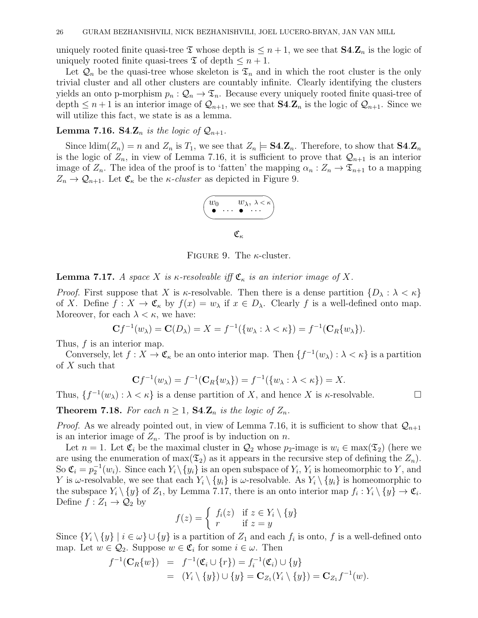uniquely rooted finite quasi-tree  $\mathfrak T$  whose depth is  $\leq n+1$ , we see that  $\mathbf{S4} \mathbf{Z}_n$  is the logic of uniquely rooted finite quasi-trees  $\mathfrak T$  of depth  $\leq n+1$ .

Let  $\mathcal{Q}_n$  be the quasi-tree whose skeleton is  $\mathfrak{T}_n$  and in which the root cluster is the only trivial cluster and all other clusters are countably infinite. Clearly identifying the clusters yields an onto p-morphism  $p_n : \mathcal{Q}_n \to \mathcal{I}_n$ . Because every uniquely rooted finite quasi-tree of depth  $\leq n+1$  is an interior image of  $\mathcal{Q}_{n+1}$ , we see that  $\mathbf{S4} \cdot \mathbf{Z}_n$  is the logic of  $\mathcal{Q}_{n+1}$ . Since we will utilize this fact, we state is as a lemma.

## **Lemma 7.16.** S4. $\mathbf{Z}_n$  is the logic of  $\mathcal{Q}_{n+1}$ .

Since  $\dim(Z_n) = n$  and  $Z_n$  is  $T_1$ , we see that  $Z_n \models \mathbf{S4} \cdot \mathbf{Z}_n$ . Therefore, to show that  $\mathbf{S4} \cdot \mathbf{Z}_n$ is the logic of  $Z_n$ , in view of Lemma 7.16, it is sufficient to prove that  $\mathcal{Q}_{n+1}$  is an interior image of  $Z_n$ . The idea of the proof is to 'fatten' the mapping  $\alpha_n : Z_n \to \mathfrak{T}_{n+1}$  to a mapping  $Z_n \to \mathcal{Q}_{n+1}$ . Let  $\mathfrak{C}_{\kappa}$  be the *κ*-*cluster* as depicted in Figure 9.



FIGURE 9. The  $\kappa$ -cluster.

**Lemma 7.17.** A space X is  $\kappa$ -resolvable iff  $\mathfrak{C}_{\kappa}$  is an interior image of X.

*Proof.* First suppose that X is  $\kappa$ -resolvable. Then there is a dense partition  $\{D_\lambda : \lambda < \kappa\}$ of X. Define  $f: X \to \mathfrak{C}_{\kappa}$  by  $f(x) = w_{\lambda}$  if  $x \in D_{\lambda}$ . Clearly f is a well-defined onto map. Moreover, for each  $\lambda < \kappa$ , we have:

$$
Cf^{-1}(w_{\lambda}) = C(D_{\lambda}) = X = f^{-1}(\{w_{\lambda} : \lambda < \kappa\}) = f^{-1}(C_R\{w_{\lambda}\}).
$$

Thus, f is an interior map.

Conversely, let  $f: X \to \mathfrak{C}_{\kappa}$  be an onto interior map. Then  $\{f^{-1}(w_\lambda): \lambda < \kappa\}$  is a partition of X such that

$$
Cf^{-1}(w_{\lambda}) = f^{-1}(C_R\{w_{\lambda}\}) = f^{-1}(\{w_{\lambda} : \lambda < \kappa\}) = X.
$$

Thus,  $\{f^{-1}(w_\lambda): \lambda < \kappa\}$  is a dense partition of X, and hence X is  $\kappa$ -resolvable.

**Theorem 7.18.** For each  $n \geq 1$ ,  $\mathbf{S4} \cdot \mathbf{Z}_n$  is the logic of  $Z_n$ .

*Proof.* As we already pointed out, in view of Lemma 7.16, it is sufficient to show that  $Q_{n+1}$ is an interior image of  $Z_n$ . The proof is by induction on n.

Let  $n = 1$ . Let  $\mathfrak{C}_i$  be the maximal cluster in  $\mathcal{Q}_2$  whose  $p_2$ -image is  $w_i \in \max(\mathfrak{T}_2)$  (here we are using the enumeration of  $max(\mathfrak{T}_2)$  as it appears in the recursive step of defining the  $Z_n$ ). So  $\mathfrak{C}_i = p_2^{-1}(w_i)$ . Since each  $Y_i \setminus \{y_i\}$  is an open subspace of  $Y_i$ ,  $Y_i$  is homeomorphic to Y, and Y is  $\omega$ -resolvable, we see that each  $Y_i \setminus \{y_i\}$  is  $\omega$ -resolvable. As  $Y_i \setminus \{y_i\}$  is homeomorphic to the subspace  $Y_i \setminus \{y\}$  of  $Z_1$ , by Lemma 7.17, there is an onto interior map  $f_i: Y_i \setminus \{y\} \to \mathfrak{C}_i$ . Define  $f: Z_1 \to Q_2$  by

$$
f(z) = \begin{cases} f_i(z) & \text{if } z \in Y_i \setminus \{y\} \\ r & \text{if } z = y \end{cases}
$$

Since  $\{Y_i \setminus \{y\} \mid i \in \omega\} \cup \{y\}$  is a partition of  $Z_1$  and each  $f_i$  is onto, f is a well-defined onto map. Let  $w \in \mathcal{Q}_2$ . Suppose  $w \in \mathfrak{C}_i$  for some  $i \in \omega$ . Then

$$
f^{-1}(\mathbf{C}_R\{w\}) = f^{-1}(\mathfrak{C}_i \cup \{r\}) = f_i^{-1}(\mathfrak{C}_i) \cup \{y\}
$$
  
=  $(Y_i \setminus \{y\}) \cup \{y\} = \mathbf{C}_{Z_1}(Y_i \setminus \{y\}) = \mathbf{C}_{Z_1}f^{-1}(w).$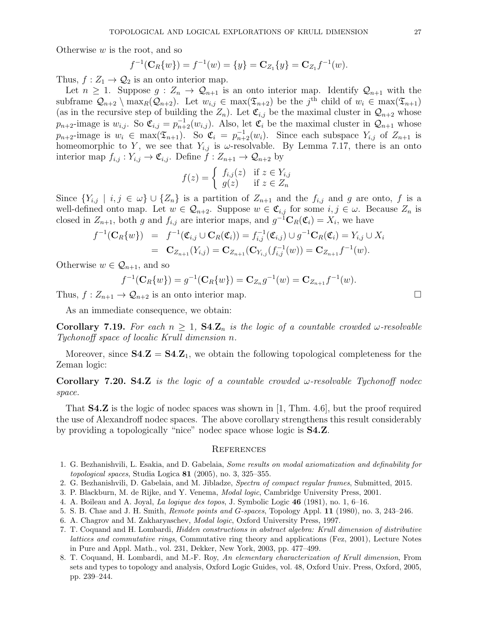Otherwise  $w$  is the root, and so

$$
f^{-1}(\mathbf{C}_R\{w\}) = f^{-1}(w) = \{y\} = \mathbf{C}_{Z_1}\{y\} = \mathbf{C}_{Z_1}f^{-1}(w).
$$

Thus,  $f: Z_1 \to Q_2$  is an onto interior map.

Let  $n \geq 1$ . Suppose  $g: Z_n \to \mathcal{Q}_{n+1}$  is an onto interior map. Identify  $\mathcal{Q}_{n+1}$  with the subframe  $\mathcal{Q}_{n+2} \setminus \max_R(\mathcal{Q}_{n+2})$ . Let  $w_{i,j} \in \max(\mathcal{I}_{n+2})$  be the j<sup>th</sup> child of  $w_i \in \max(\mathcal{I}_{n+1})$ (as in the recursive step of building the  $Z_n$ ). Let  $\mathfrak{C}_{i,j}$  be the maximal cluster in  $\mathcal{Q}_{n+2}$  whose  $p_{n+2}$ -image is  $w_{i,j}$ . So  $\mathfrak{C}_{i,j} = p_{n+2}^{-1}(w_{i,j})$ . Also, let  $\mathfrak{C}_i$  be the maximal cluster in  $\mathcal{Q}_{n+1}$  whose  $p_{n+2}$ -image is  $w_i \in \max(\mathfrak{T}_{n+1})$ . So  $\mathfrak{C}_i = p_{n+2}^{-1}(w_i)$ . Since each subspace  $Y_{i,j}$  of  $Z_{n+1}$  is homeomorphic to Y, we see that  $Y_{i,j}$  is  $\omega$ -resolvable. By Lemma 7.17, there is an onto interior map  $f_{i,j}: Y_{i,j} \to \mathfrak{C}_{i,j}$ . Define  $f: Z_{n+1} \to \mathcal{Q}_{n+2}$  by

$$
f(z) = \begin{cases} f_{i,j}(z) & \text{if } z \in Y_{i,j} \\ g(z) & \text{if } z \in Z_n \end{cases}
$$

Since  ${Y_{i,j} \mid i,j \in \omega} \cup {Z_n}$  is a partition of  $Z_{n+1}$  and the  $f_{i,j}$  and g are onto, f is a well-defined onto map. Let  $w \in \mathcal{Q}_{n+2}$ . Suppose  $w \in \mathfrak{C}_{i,j}$  for some  $i, j \in \omega$ . Because  $Z_n$  is closed in  $Z_{n+1}$ , both g and  $f_{i,j}$  are interior maps, and  $g^{-1}C_R(\mathfrak{C}_i) = X_i$ , we have

$$
f^{-1}(\mathbf{C}_R\{w\}) = f^{-1}(\mathfrak{C}_{i,j} \cup \mathbf{C}_R(\mathfrak{C}_i)) = f_{i,j}^{-1}(\mathfrak{C}_{i,j}) \cup g^{-1}\mathbf{C}_R(\mathfrak{C}_i) = Y_{i,j} \cup X_i
$$
  
=  $\mathbf{C}_{Z_{n+1}}(Y_{i,j}) = \mathbf{C}_{Z_{n+1}}(\mathbf{C}_{Y_{i,j}}(f_{i,j}^{-1}(w)) = \mathbf{C}_{Z_{n+1}}f^{-1}(w).$ 

Otherwise  $w \in \mathcal{Q}_{n+1}$ , and so

$$
f^{-1}(\mathbf{C}_R\{w\}) = g^{-1}(\mathbf{C}_R\{w\}) = \mathbf{C}_{Z_n}g^{-1}(w) = \mathbf{C}_{Z_{n+1}}f^{-1}(w).
$$

Thus,  $f: Z_{n+1} \to Q_{n+2}$  is an onto interior map.

As an immediate consequence, we obtain:

**Corollary 7.19.** For each  $n \geq 1$ ,  $\mathbf{S4} \mathbf{Z}_n$  is the logic of a countable crowded  $\omega$ -resolvable Tychonoff space of localic Krull dimension n.

Moreover, since  $S4.Z = S4.Z_1$ , we obtain the following topological completeness for the Zeman logic:

# Corollary 7.20. S4.Z is the logic of a countable crowded  $\omega$ -resolvable Tychonoff nodec space.

That S4.Z is the logic of nodec spaces was shown in [1, Thm. 4.6], but the proof required the use of Alexandroff nodec spaces. The above corollary strengthens this result considerably by providing a topologically "nice" nodec space whose logic is S4.Z.

### **REFERENCES**

- 1. G. Bezhanishvili, L. Esakia, and D. Gabelaia, Some results on modal axiomatization and definability for topological spaces, Studia Logica  $81$  (2005), no. 3, 325–355.
- 2. G. Bezhanishvili, D. Gabelaia, and M. Jibladze, Spectra of compact regular frames, Submitted, 2015.
- 3. P. Blackburn, M. de Rijke, and Y. Venema, Modal logic, Cambridge University Press, 2001.
- 4. A. Boileau and A. Joyal, La logique des topos, J. Symbolic Logic 46 (1981), no. 1, 6–16.
- 5. S. B. Chae and J. H. Smith, Remote points and G-spaces, Topology Appl. 11 (1980), no. 3, 243–246.
- 6. A. Chagrov and M. Zakharyaschev, Modal logic, Oxford University Press, 1997.
- 7. T. Coquand and H. Lombardi, Hidden constructions in abstract algebra: Krull dimension of distributive lattices and commutative rings, Commutative ring theory and applications (Fez, 2001), Lecture Notes in Pure and Appl. Math., vol. 231, Dekker, New York, 2003, pp. 477–499.
- 8. T. Coquand, H. Lombardi, and M.-F. Roy, An elementary characterization of Krull dimension, From sets and types to topology and analysis, Oxford Logic Guides, vol. 48, Oxford Univ. Press, Oxford, 2005, pp. 239–244.